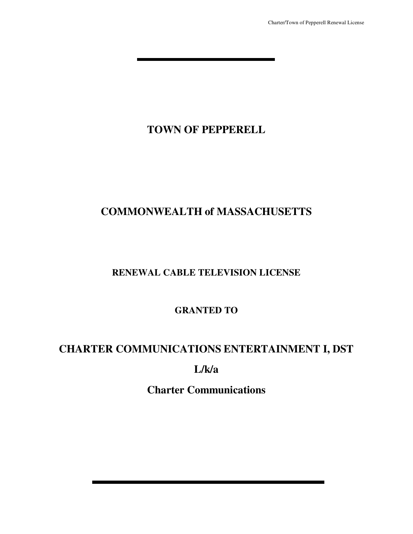## **TOWN OF PEPPERELL**

## **COMMONWEALTH of MASSACHUSETTS**

## **RENEWAL CABLE TELEVISION LICENSE**

## **GRANTED TO**

# **CHARTER COMMUNICATIONS ENTERTAINMENT I, DST**

## **L/k/a**

## **Charter Communications**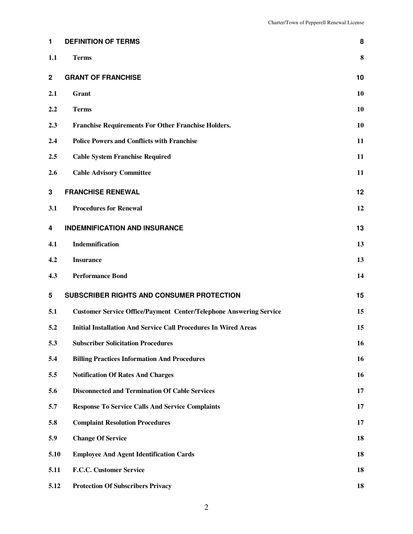| $\mathbf{1}$ | <b>DEFINITION OF TERMS</b>                                                | 8  |
|--------------|---------------------------------------------------------------------------|----|
| 1.1          | <b>Terms</b>                                                              | 8  |
| $\mathbf{2}$ | <b>GRANT OF FRANCHISE</b>                                                 | 10 |
| 2.1          | Grant                                                                     | 10 |
| 2.2          | <b>Terms</b>                                                              | 10 |
| 2.3          | Franchise Requirements For Other Franchise Holders.                       | 10 |
| 2.4          | <b>Police Powers and Conflicts with Franchise</b>                         | 11 |
| 2.5          | <b>Cable System Franchise Required</b>                                    | 11 |
| 2.6          | <b>Cable Advisory Committee</b>                                           | 11 |
| 3            | <b>FRANCHISE RENEWAL</b>                                                  | 12 |
| 3.1          | <b>Procedures for Renewal</b>                                             | 12 |
| 4            | <b>INDEMNIFICATION AND INSURANCE</b>                                      | 13 |
| 4.1          | Indemnification                                                           | 13 |
| 4.2          | <b>Insurance</b>                                                          | 13 |
| 4.3          | <b>Performance Bond</b>                                                   | 14 |
| 5            | SUBSCRIBER RIGHTS AND CONSUMER PROTECTION                                 | 15 |
| 5.1          | <b>Customer Service Office/Payment Center/Telephone Answering Service</b> | 15 |
| 5.2          | <b>Initial Installation And Service Call Procedures In Wired Areas</b>    | 15 |
| 5.3          | <b>Subscriber Solicitation Procedures</b>                                 | 16 |
| 5.4          | <b>Billing Practices Information And Procedures</b>                       | 16 |
| 5.5          | <b>Notification Of Rates And Charges</b>                                  | 16 |
| 5.6          | <b>Disconnected and Termination Of Cable Services</b>                     | 17 |
| 5.7          | <b>Response To Service Calls And Service Complaints</b>                   | 17 |
| 5.8          | <b>Complaint Resolution Procedures</b>                                    | 17 |
| 5.9          | <b>Change Of Service</b>                                                  | 18 |
| 5.10         | <b>Employee And Agent Identification Cards</b>                            | 18 |
| 5.11         | F.C.C. Customer Service                                                   | 18 |
| 5.12         | <b>Protection Of Subscribers Privacy</b>                                  | 18 |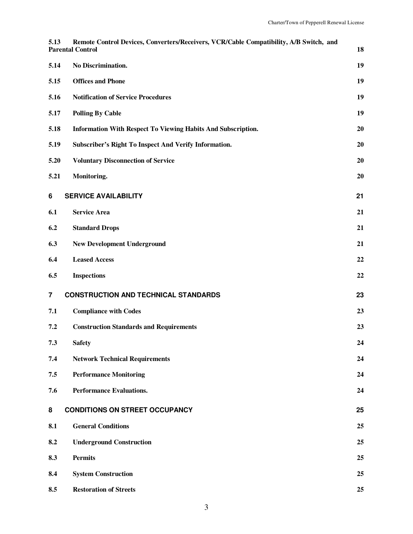| 5.13 | Remote Control Devices, Converters/Receivers, VCR/Cable Compatibility, A/B Switch, and<br><b>Parental Control</b> | 18 |
|------|-------------------------------------------------------------------------------------------------------------------|----|
| 5.14 | No Discrimination.                                                                                                | 19 |
| 5.15 | <b>Offices and Phone</b>                                                                                          | 19 |
| 5.16 | <b>Notification of Service Procedures</b>                                                                         | 19 |
| 5.17 | <b>Polling By Cable</b>                                                                                           | 19 |
| 5.18 | Information With Respect To Viewing Habits And Subscription.                                                      | 20 |
| 5.19 | Subscriber's Right To Inspect And Verify Information.                                                             | 20 |
| 5.20 | <b>Voluntary Disconnection of Service</b>                                                                         | 20 |
| 5.21 | Monitoring.                                                                                                       | 20 |
| 6    | <b>SERVICE AVAILABILITY</b>                                                                                       | 21 |
| 6.1  | <b>Service Area</b>                                                                                               | 21 |
| 6.2  | <b>Standard Drops</b>                                                                                             | 21 |
| 6.3  | <b>New Development Underground</b>                                                                                | 21 |
| 6.4  | <b>Leased Access</b>                                                                                              | 22 |
| 6.5  | <b>Inspections</b>                                                                                                | 22 |
| 7    | <b>CONSTRUCTION AND TECHNICAL STANDARDS</b>                                                                       | 23 |
| 7.1  | <b>Compliance with Codes</b>                                                                                      | 23 |
| 7.2  | <b>Construction Standards and Requirements</b>                                                                    | 23 |
| 7.3  | <b>Safety</b>                                                                                                     | 24 |
| 7.4  | <b>Network Technical Requirements</b>                                                                             | 24 |
| 7.5  | <b>Performance Monitoring</b>                                                                                     | 24 |
| 7.6  | <b>Performance Evaluations.</b>                                                                                   | 24 |
| 8    | <b>CONDITIONS ON STREET OCCUPANCY</b>                                                                             | 25 |
| 8.1  | <b>General Conditions</b>                                                                                         | 25 |
| 8.2  | <b>Underground Construction</b>                                                                                   | 25 |
| 8.3  | <b>Permits</b>                                                                                                    | 25 |
| 8.4  | <b>System Construction</b>                                                                                        | 25 |
| 8.5  | <b>Restoration of Streets</b>                                                                                     | 25 |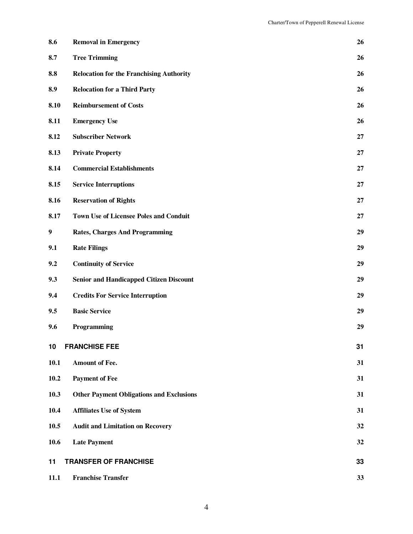| 8.6  | <b>Removal in Emergency</b>                     | 26 |
|------|-------------------------------------------------|----|
| 8.7  | <b>Tree Trimming</b>                            | 26 |
| 8.8  | <b>Relocation for the Franchising Authority</b> | 26 |
| 8.9  | <b>Relocation for a Third Party</b>             | 26 |
| 8.10 | <b>Reimbursement of Costs</b>                   | 26 |
| 8.11 | <b>Emergency Use</b>                            | 26 |
| 8.12 | <b>Subscriber Network</b>                       | 27 |
| 8.13 | <b>Private Property</b>                         | 27 |
| 8.14 | <b>Commercial Establishments</b>                | 27 |
| 8.15 | <b>Service Interruptions</b>                    | 27 |
| 8.16 | <b>Reservation of Rights</b>                    | 27 |
| 8.17 | <b>Town Use of Licensee Poles and Conduit</b>   | 27 |
| 9    | <b>Rates, Charges And Programming</b>           | 29 |
| 9.1  | <b>Rate Filings</b>                             | 29 |
| 9.2  | <b>Continuity of Service</b>                    | 29 |
| 9.3  | <b>Senior and Handicapped Citizen Discount</b>  | 29 |
| 9.4  | <b>Credits For Service Interruption</b>         | 29 |
| 9.5  | <b>Basic Service</b>                            | 29 |
| 9.6  | Programming                                     | 29 |
| 10   | <b>FRANCHISE FEE</b>                            | 31 |
| 10.1 | Amount of Fee.                                  | 31 |
| 10.2 | <b>Payment of Fee</b>                           | 31 |
| 10.3 | <b>Other Payment Obligations and Exclusions</b> | 31 |
| 10.4 | <b>Affiliates Use of System</b>                 | 31 |
| 10.5 | <b>Audit and Limitation on Recovery</b>         | 32 |
| 10.6 | <b>Late Payment</b>                             | 32 |
| 11   | <b>TRANSFER OF FRANCHISE</b>                    | 33 |
| 11.1 | <b>Franchise Transfer</b>                       | 33 |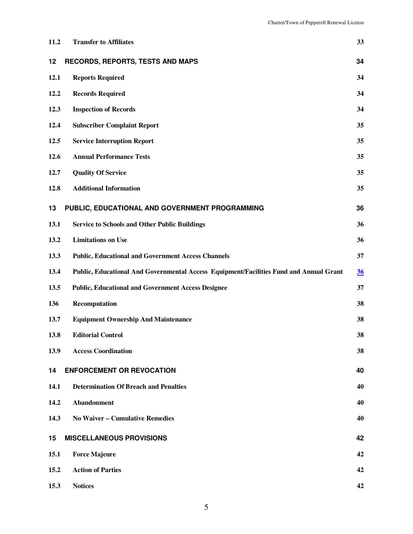| 11.2 | <b>Transfer to Affiliates</b>                                                          | 33 |
|------|----------------------------------------------------------------------------------------|----|
| 12   | <b>RECORDS, REPORTS, TESTS AND MAPS</b>                                                | 34 |
| 12.1 | <b>Reports Required</b>                                                                | 34 |
| 12.2 | <b>Records Required</b>                                                                | 34 |
| 12.3 | <b>Inspection of Records</b>                                                           | 34 |
| 12.4 | <b>Subscriber Complaint Report</b>                                                     | 35 |
| 12.5 | <b>Service Interruption Report</b>                                                     | 35 |
| 12.6 | <b>Annual Performance Tests</b>                                                        | 35 |
| 12.7 | <b>Quality Of Service</b>                                                              | 35 |
| 12.8 | <b>Additional Information</b>                                                          | 35 |
| 13   | PUBLIC, EDUCATIONAL AND GOVERNMENT PROGRAMMING                                         | 36 |
| 13.1 | <b>Service to Schools and Other Public Buildings</b>                                   | 36 |
| 13.2 | <b>Limitations on Use</b>                                                              | 36 |
| 13.3 | <b>Public, Educational and Government Access Channels</b>                              | 37 |
| 13.4 | Public, Educational And Governmental Access Equipment/Facilities Fund and Annual Grant | 36 |
| 13.5 | <b>Public, Educational and Government Access Designee</b>                              | 37 |
| 136  | Recomputation                                                                          | 38 |
| 13.7 | <b>Equipment Ownership And Maintenance</b>                                             | 38 |
| 13.8 | <b>Editorial Control</b>                                                               | 38 |
| 13.9 | <b>Access Coordination</b>                                                             | 38 |
| 14   | <b>ENFORCEMENT OR REVOCATION</b>                                                       | 40 |
| 14.1 | <b>Determination Of Breach and Penalties</b>                                           | 40 |
| 14.2 | Abandonment                                                                            | 40 |
| 14.3 | <b>No Waiver - Cumulative Remedies</b>                                                 | 40 |
| 15   | <b>MISCELLANEOUS PROVISIONS</b>                                                        | 42 |
| 15.1 | <b>Force Majeure</b>                                                                   | 42 |
| 15.2 | <b>Action of Parties</b>                                                               | 42 |
| 15.3 | <b>Notices</b>                                                                         | 42 |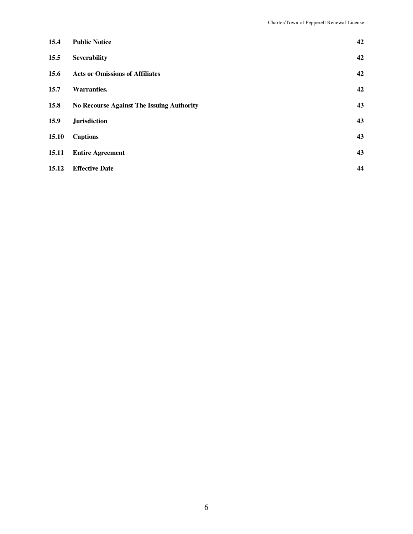| 15.4  | <b>Public Notice</b>                      | 42 |
|-------|-------------------------------------------|----|
| 15.5  | <b>Severability</b>                       | 42 |
| 15.6  | <b>Acts or Omissions of Affiliates</b>    | 42 |
| 15.7  | <b>Warranties.</b>                        | 42 |
| 15.8  | No Recourse Against The Issuing Authority | 43 |
| 15.9  | <b>Jurisdiction</b>                       | 43 |
| 15.10 | <b>Captions</b>                           | 43 |
| 15.11 | <b>Entire Agreement</b>                   | 43 |
| 15.12 | <b>Effective Date</b>                     | 44 |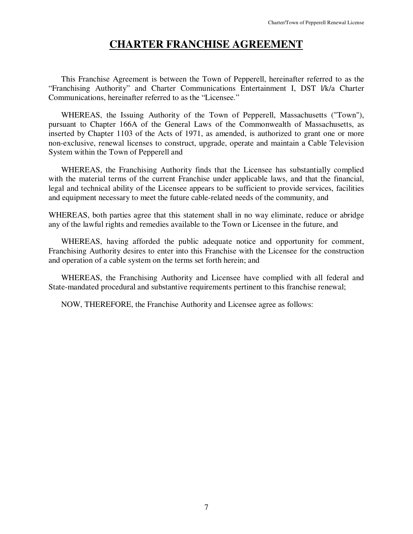## **CHARTER FRANCHISE AGREEMENT**

 This Franchise Agreement is between the Town of Pepperell, hereinafter referred to as the "Franchising Authority" and Charter Communications Entertainment I, DST l/k/a Charter Communications, hereinafter referred to as the "Licensee."

 WHEREAS, the Issuing Authority of the Town of Pepperell, Massachusetts ("Town"), pursuant to Chapter 166A of the General Laws of the Commonwealth of Massachusetts, as inserted by Chapter 1103 of the Acts of 1971, as amended, is authorized to grant one or more non-exclusive, renewal licenses to construct, upgrade, operate and maintain a Cable Television System within the Town of Pepperell and

 WHEREAS, the Franchising Authority finds that the Licensee has substantially complied with the material terms of the current Franchise under applicable laws, and that the financial, legal and technical ability of the Licensee appears to be sufficient to provide services, facilities and equipment necessary to meet the future cable-related needs of the community, and

WHEREAS, both parties agree that this statement shall in no way eliminate, reduce or abridge any of the lawful rights and remedies available to the Town or Licensee in the future, and

 WHEREAS, having afforded the public adequate notice and opportunity for comment, Franchising Authority desires to enter into this Franchise with the Licensee for the construction and operation of a cable system on the terms set forth herein; and

 WHEREAS, the Franchising Authority and Licensee have complied with all federal and State-mandated procedural and substantive requirements pertinent to this franchise renewal;

NOW, THEREFORE, the Franchise Authority and Licensee agree as follows: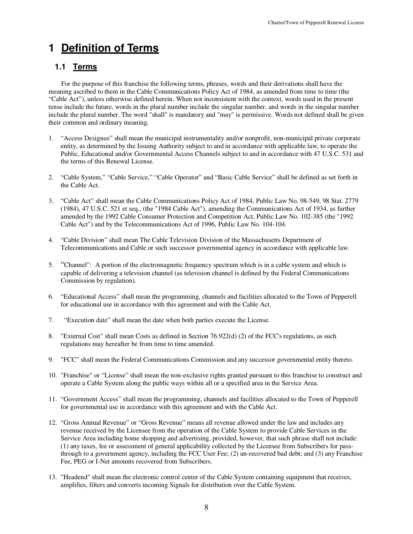## **1 Definition of Terms**

## **1.1 Terms**

 For the purpose of this franchise the following terms, phrases, words and their derivations shall have the meaning ascribed to them in the Cable Communications Policy Act of 1984, as amended from time to time (the "Cable Act"), unless otherwise defined herein. When not inconsistent with the context, words used in the present tense include the future, words in the plural number include the singular number, and words in the singular number include the plural number. The word "shall" is mandatory and "may" is permissive. Words not defined shall be given their common and ordinary meaning.

- 1. "Access Designee" shall mean the municipal instrumentality and/or nonprofit, non-municipal private corporate entity, as determined by the Issuing Authority subject to and in accordance with applicable law, to operate the Public, Educational and/or Governmental Access Channels subject to and in accordance with 47 U.S.C. 531 and the terms of this Renewal License.
- 2. "Cable System," "Cable Service," "Cable Operator" and "Basic Cable Service" shall be defined as set forth in the Cable Act.
- 3. "Cable Act" shall mean the Cable Communications Policy Act of 1984, Public Law No. 98-549, 98 Stat. 2779 (1984), 47 U.S.C. 521 et seq., (the "1984 Cable Act"), amending the Communications Act of 1934, as further amended by the 1992 Cable Consumer Protection and Competition Act, Public Law No. 102-385 (the "1992 Cable Act") and by the Telecommunications Act of 1996, Public Law No. 104-104.
- 4. "Cable Division" shall mean The Cable Television Division of the Massachusetts Department of Telecommunications and Cable or such successor governmental agency in accordance with applicable law.
- 5. "Channel": A portion of the electromagnetic frequency spectrum which is in a cable system and which is capable of delivering a television channel (as television channel is defined by the Federal Communications Commission by regulation).
- 6. "Educational Access" shall mean the programming, channels and facilities allocated to the Town of Pepperell for educational use in accordance with this agreement and with the Cable Act.
- 7. "Execution date" shall mean the date when both parties execute the License.
- 8. "External Cost" shall mean Costs as defined in Section 76.922(d) (2) of the FCC's regulations, as such regulations may hereafter be from time to time amended.
- 9. "FCC" shall mean the Federal Communications Commission and any successor governmental entity thereto.
- 10. "Franchise" or "License" shall mean the non-exclusive rights granted pursuant to this franchise to construct and operate a Cable System along the public ways within all or a specified area in the Service Area.
- 11. "Government Access" shall mean the programming, channels and facilities allocated to the Town of Pepperell for governmental use in accordance with this agreement and with the Cable Act.
- 12. "Gross Annual Revenue" or "Gross Revenue" means all revenue allowed under the law and includes any revenue received by the Licensee from the operation of the Cable System to provide Cable Services in the Service Area including home shopping and advertising, provided, however, that such phrase shall not include: (1) any taxes, fee or assessment of general applicability collected by the Licensee from Subscribers for passthrough to a government agency, including the FCC User Fee; (2) un-recovered bad debt; and (3) any Franchise Fee, PEG or I-Net amounts recovered from Subscribers.
- 13. "Headend" shall mean the electronic control center of the Cable System containing equipment that receives, amplifies, filters and converts incoming Signals for distribution over the Cable System.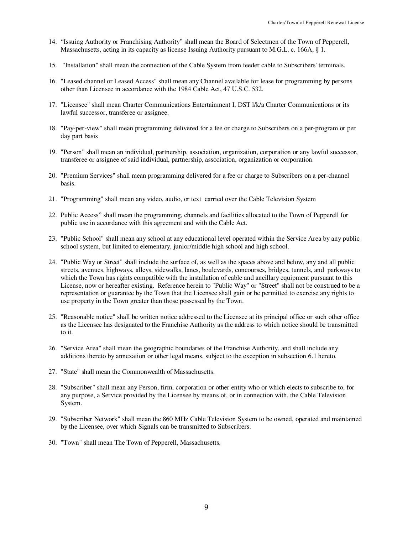- 14. "Issuing Authority or Franchising Authority" shall mean the Board of Selectmen of the Town of Pepperell, Massachusetts, acting in its capacity as license Issuing Authority pursuant to M.G.L. c. 166A, § 1.
- 15. "Installation" shall mean the connection of the Cable System from feeder cable to Subscribers' terminals.
- 16. "Leased channel or Leased Access" shall mean any Channel available for lease for programming by persons other than Licensee in accordance with the 1984 Cable Act, 47 U.S.C. 532.
- 17. "Licensee" shall mean Charter Communications Entertainment I, DST l/k/a Charter Communications or its lawful successor, transferee or assignee.
- 18. "Pay-per-view" shall mean programming delivered for a fee or charge to Subscribers on a per-program or per day part basis
- 19. "Person" shall mean an individual, partnership, association, organization, corporation or any lawful successor, transferee or assignee of said individual, partnership, association, organization or corporation.
- 20. "Premium Services" shall mean programming delivered for a fee or charge to Subscribers on a per-channel basis.
- 21. "Programming" shall mean any video, audio, or text carried over the Cable Television System
- 22. Public Access" shall mean the programming, channels and facilities allocated to the Town of Pepperell for public use in accordance with this agreement and with the Cable Act.
- 23. "Public School" shall mean any school at any educational level operated within the Service Area by any public school system, but limited to elementary, junior/middle high school and high school.
- 24. "Public Way or Street" shall include the surface of, as well as the spaces above and below, any and all public streets, avenues, highways, alleys, sidewalks, lanes, boulevards, concourses, bridges, tunnels, and parkways to which the Town has rights compatible with the installation of cable and ancillary equipment pursuant to this License, now or hereafter existing. Reference herein to "Public Way" or "Street" shall not be construed to be a representation or guarantee by the Town that the Licensee shall gain or be permitted to exercise any rights to use property in the Town greater than those possessed by the Town.
- 25. "Reasonable notice" shall be written notice addressed to the Licensee at its principal office or such other office as the Licensee has designated to the Franchise Authority as the address to which notice should be transmitted to it.
- 26. "Service Area" shall mean the geographic boundaries of the Franchise Authority, and shall include any additions thereto by annexation or other legal means, subject to the exception in subsection 6.1 hereto.
- 27. "State" shall mean the Commonwealth of Massachusetts.
- 28. "Subscriber" shall mean any Person, firm, corporation or other entity who or which elects to subscribe to, for any purpose, a Service provided by the Licensee by means of, or in connection with, the Cable Television System.
- 29. "Subscriber Network" shall mean the 860 MHz Cable Television System to be owned, operated and maintained by the Licensee, over which Signals can be transmitted to Subscribers.
- 30. "Town" shall mean The Town of Pepperell, Massachusetts.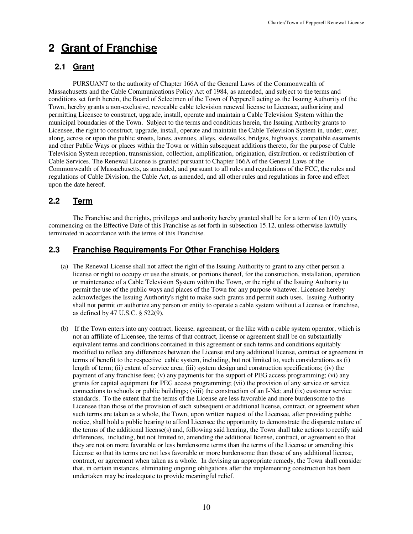## **2 Grant of Franchise**

## **2.1 Grant**

PURSUANT to the authority of Chapter 166A of the General Laws of the Commonwealth of Massachusetts and the Cable Communications Policy Act of 1984, as amended, and subject to the terms and conditions set forth herein, the Board of Selectmen of the Town of Pepperell acting as the Issuing Authority of the Town, hereby grants a non-exclusive, revocable cable television renewal license to Licensee, authorizing and permitting Licensee to construct, upgrade, install, operate and maintain a Cable Television System within the municipal boundaries of the Town. Subject to the terms and conditions herein, the Issuing Authority grants to Licensee, the right to construct, upgrade, install, operate and maintain the Cable Television System in, under, over, along, across or upon the public streets, lanes, avenues, alleys, sidewalks, bridges, highways, compatible easements and other Public Ways or places within the Town or within subsequent additions thereto, for the purpose of Cable Television System reception, transmission, collection, amplification, origination, distribution, or redistribution of Cable Services. The Renewal License is granted pursuant to Chapter 166A of the General Laws of the Commonwealth of Massachusetts, as amended, and pursuant to all rules and regulations of the FCC, the rules and regulations of Cable Division, the Cable Act, as amended, and all other rules and regulations in force and effect upon the date hereof.

## **2.2 Term**

The Franchise and the rights, privileges and authority hereby granted shall be for a term of ten (10) years, commencing on the Effective Date of this Franchise as set forth in subsection 15.12, unless otherwise lawfully terminated in accordance with the terms of this Franchise.

## **2.3 Franchise Requirements For Other Franchise Holders**

- (a) The Renewal License shall not affect the right of the Issuing Authority to grant to any other person a license or right to occupy or use the streets, or portions thereof, for the construction, installation, operation or maintenance of a Cable Television System within the Town, or the right of the Issuing Authority to permit the use of the public ways and places of the Town for any purpose whatever. Licensee hereby acknowledges the Issuing Authority's right to make such grants and permit such uses. Issuing Authority shall not permit or authorize any person or entity to operate a cable system without a License or franchise, as defined by 47 U.S.C. § 522(9).
- (b) If the Town enters into any contract, license, agreement, or the like with a cable system operator, which is not an affiliate of Licensee, the terms of that contract, license or agreement shall be on substantially equivalent terms and conditions contained in this agreement or such terms and conditions equitably modified to reflect any differences between the License and any additional license, contract or agreement in terms of benefit to the respective cable system, including, but not limited to, such considerations as (i) length of term; (ii) extent of service area; (iii) system design and construction specifications; (iv) the payment of any franchise fees; (v) any payments for the support of PEG access programming; (vi) any grants for capital equipment for PEG access programming; (vii) the provision of any service or service connections to schools or public buildings; (viii) the construction of an I-Net; and (ix) customer service standards. To the extent that the terms of the License are less favorable and more burdensome to the Licensee than those of the provision of such subsequent or additional license, contract, or agreement when such terms are taken as a whole, the Town, upon written request of the Licensee, after providing public notice, shall hold a public hearing to afford Licensee the opportunity to demonstrate the disparate nature of the terms of the additional license(s) and, following said hearing, the Town shall take actions to rectify said differences, including, but not limited to, amending the additional license, contract, or agreement so that they are not on more favorable or less burdensome terms than the terms of the License or amending this License so that its terms are not less favorable or more burdensome than those of any additional license, contract, or agreement when taken as a whole. In devising an appropriate remedy, the Town shall consider that, in certain instances, eliminating ongoing obligations after the implementing construction has been undertaken may be inadequate to provide meaningful relief.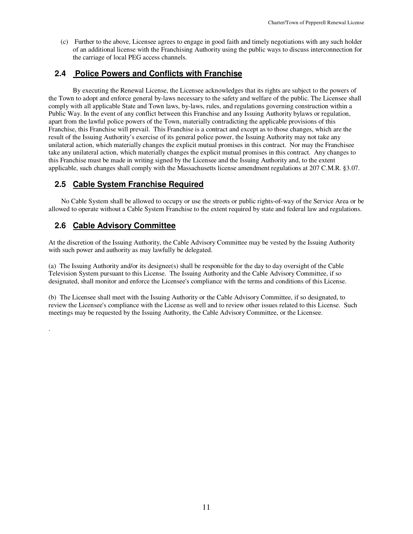(c) Further to the above, Licensee agrees to engage in good faith and timely negotiations with any such holder of an additional license with the Franchising Authority using the public ways to discuss interconnection for the carriage of local PEG access channels.

## **2.4 Police Powers and Conflicts with Franchise**

By executing the Renewal License, the Licensee acknowledges that its rights are subject to the powers of the Town to adopt and enforce general by-laws necessary to the safety and welfare of the public. The Licensee shall comply with all applicable State and Town laws, by-laws, rules, and regulations governing construction within a Public Way. In the event of any conflict between this Franchise and any Issuing Authority bylaws or regulation, apart from the lawful police powers of the Town, materially contradicting the applicable provisions of this Franchise, this Franchise will prevail. This Franchise is a contract and except as to those changes, which are the result of the Issuing Authority's exercise of its general police power, the Issuing Authority may not take any unilateral action, which materially changes the explicit mutual promises in this contract. Nor may the Franchisee take any unilateral action, which materially changes the explicit mutual promises in this contract. Any changes to this Franchise must be made in writing signed by the Licensee and the Issuing Authority and, to the extent applicable, such changes shall comply with the Massachusetts license amendment regulations at 207 C.M.R. §3.07.

## **2.5 Cable System Franchise Required**

 No Cable System shall be allowed to occupy or use the streets or public rights-of-way of the Service Area or be allowed to operate without a Cable System Franchise to the extent required by state and federal law and regulations.

## **2.6 Cable Advisory Committee**

.

At the discretion of the Issuing Authority, the Cable Advisory Committee may be vested by the Issuing Authority with such power and authority as may lawfully be delegated.

(a) The Issuing Authority and/or its designee(s) shall be responsible for the day to day oversight of the Cable Television System pursuant to this License. The Issuing Authority and the Cable Advisory Committee, if so designated, shall monitor and enforce the Licensee's compliance with the terms and conditions of this License.

(b) The Licensee shall meet with the Issuing Authority or the Cable Advisory Committee, if so designated, to review the Licensee's compliance with the License as well and to review other issues related to this License. Such meetings may be requested by the Issuing Authority, the Cable Advisory Committee, or the Licensee.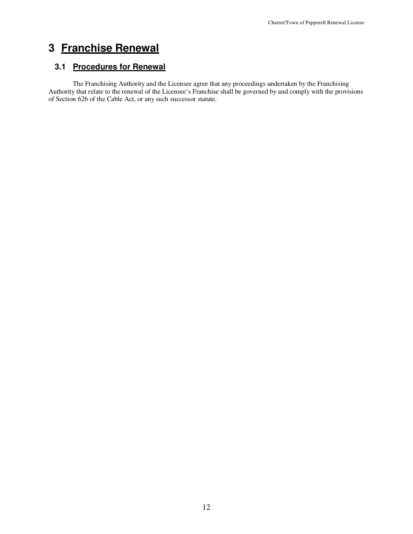## **3 Franchise Renewal**

## **3.1 Procedures for Renewal**

The Franchising Authority and the Licensee agree that any proceedings undertaken by the Franchising Authority that relate to the renewal of the Licensee's Franchise shall be governed by and comply with the provisions of Section 626 of the Cable Act, or any such successor statute.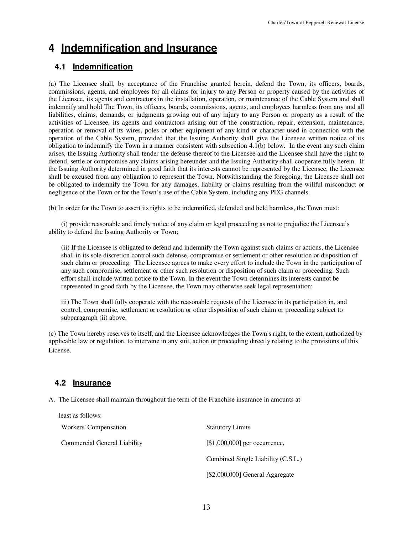# **4 Indemnification and Insurance**

## **4.1 Indemnification**

(a) The Licensee shall, by acceptance of the Franchise granted herein, defend the Town, its officers, boards, commissions, agents, and employees for all claims for injury to any Person or property caused by the activities of the Licensee, its agents and contractors in the installation, operation, or maintenance of the Cable System and shall indemnify and hold The Town, its officers, boards, commissions, agents, and employees harmless from any and all liabilities, claims, demands, or judgments growing out of any injury to any Person or property as a result of the activities of Licensee, its agents and contractors arising out of the construction, repair, extension, maintenance, operation or removal of its wires, poles or other equipment of any kind or character used in connection with the operation of the Cable System, provided that the Issuing Authority shall give the Licensee written notice of its obligation to indemnify the Town in a manner consistent with subsection 4.1(b) below. In the event any such claim arises, the Issuing Authority shall tender the defense thereof to the Licensee and the Licensee shall have the right to defend, settle or compromise any claims arising hereunder and the Issuing Authority shall cooperate fully herein. If the Issuing Authority determined in good faith that its interests cannot be represented by the Licensee, the Licensee shall be excused from any obligation to represent the Town. Notwithstanding the foregoing, the Licensee shall not be obligated to indemnify the Town for any damages, liability or claims resulting from the willful misconduct or negligence of the Town or for the Town's use of the Cable System, including any PEG channels.

(b) In order for the Town to assert its rights to be indemnified, defended and held harmless, the Town must:

 (i) provide reasonable and timely notice of any claim or legal proceeding as not to prejudice the Licensee's ability to defend the Issuing Authority or Town;

(ii) If the Licensee is obligated to defend and indemnify the Town against such claims or actions, the Licensee shall in its sole discretion control such defense, compromise or settlement or other resolution or disposition of such claim or proceeding. The Licensee agrees to make every effort to include the Town in the participation of any such compromise, settlement or other such resolution or disposition of such claim or proceeding. Such effort shall include written notice to the Town. In the event the Town determines its interests cannot be represented in good faith by the Licensee, the Town may otherwise seek legal representation;

iii) The Town shall fully cooperate with the reasonable requests of the Licensee in its participation in, and control, compromise, settlement or resolution or other disposition of such claim or proceeding subject to subparagraph (ii) above.

(c) The Town hereby reserves to itself, and the Licensee acknowledges the Town's right, to the extent, authorized by applicable law or regulation, to intervene in any suit, action or proceeding directly relating to the provisions of this License.

## **4.2 Insurance**

A. The Licensee shall maintain throughout the term of the Franchise insurance in amounts at

| least as follows:            |                                    |
|------------------------------|------------------------------------|
| Workers' Compensation        | <b>Statutory Limits</b>            |
| Commercial General Liability | $[$1,000,000]$ per occurrence,     |
|                              | Combined Single Liability (C.S.L.) |
|                              | [\$2,000,000] General Aggregate    |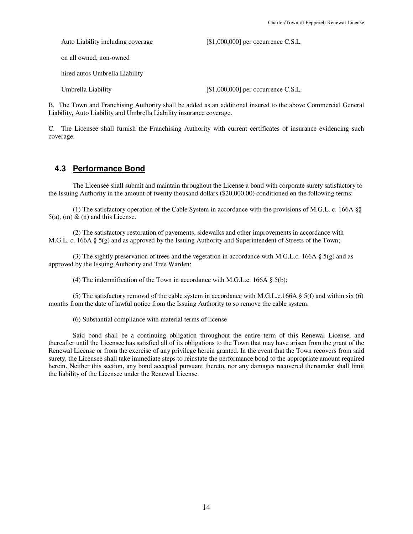Auto Liability including coverage [\$1,000,000] per occurrence C.S.L.

on all owned, non-owned

hired autos Umbrella Liability

Umbrella Liability [\$1,000,000] per occurrence C.S.L.

B. The Town and Franchising Authority shall be added as an additional insured to the above Commercial General Liability, Auto Liability and Umbrella Liability insurance coverage.

C. The Licensee shall furnish the Franchising Authority with current certificates of insurance evidencing such coverage.

## **4.3 Performance Bond**

The Licensee shall submit and maintain throughout the License a bond with corporate surety satisfactory to the Issuing Authority in the amount of twenty thousand dollars (\$20,000.00) conditioned on the following terms:

(1) The satisfactory operation of the Cable System in accordance with the provisions of M.G.L. c. 166A §§  $5(a)$ , (m) & (n) and this License.

(2) The satisfactory restoration of pavements, sidewalks and other improvements in accordance with M.G.L. c. 166A § 5(g) and as approved by the Issuing Authority and Superintendent of Streets of the Town;

(3) The sightly preservation of trees and the vegetation in accordance with M.G.L.c. 166A  $\S$  5(g) and as approved by the Issuing Authority and Tree Warden;

(4) The indemnification of the Town in accordance with M.G.L.c. 166A § 5(b);

(5) The satisfactory removal of the cable system in accordance with M.G.L.c.166A  $\S$  5(f) and within six (6) months from the date of lawful notice from the Issuing Authority to so remove the cable system.

(6) Substantial compliance with material terms of license

Said bond shall be a continuing obligation throughout the entire term of this Renewal License, and thereafter until the Licensee has satisfied all of its obligations to the Town that may have arisen from the grant of the Renewal License or from the exercise of any privilege herein granted. In the event that the Town recovers from said surety, the Licensee shall take immediate steps to reinstate the performance bond to the appropriate amount required herein. Neither this section, any bond accepted pursuant thereto, nor any damages recovered thereunder shall limit the liability of the Licensee under the Renewal License.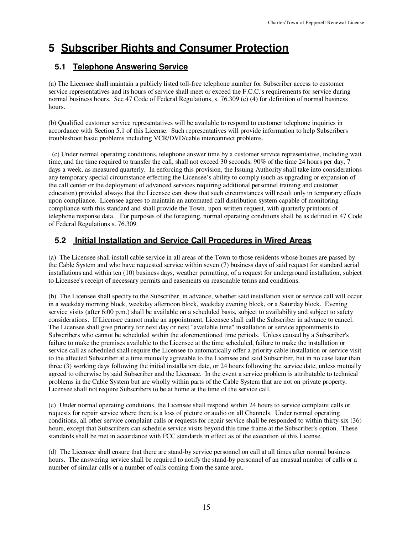# **5 Subscriber Rights and Consumer Protection**

## **5.1 Telephone Answering Service**

(a) The Licensee shall maintain a publicly listed toll-free telephone number for Subscriber access to customer service representatives and its hours of service shall meet or exceed the F.C.C.'s requirements for service during normal business hours. See 47 Code of Federal Regulations, s. 76.309 (c) (4) for definition of normal business hours.

(b) Qualified customer service representatives will be available to respond to customer telephone inquiries in accordance with Section 5.1 of this License. Such representatives will provide information to help Subscribers troubleshoot basic problems including VCR/DVD/cable interconnect problems.

 (c) Under normal operating conditions, telephone answer time by a customer service representative, including wait time, and the time required to transfer the call, shall not exceed 30 seconds, 90% of the time 24 hours per day, 7 days a week, as measured quarterly. In enforcing this provision, the Issuing Authority shall take into considerations any temporary special circumstance effecting the Licensee's ability to comply (such as upgrading or expansion of the call center or the deployment of advanced services requiring additional personnel training and customer education) provided always that the Licensee can show that such circumstances will result only in temporary effects upon compliance. Licensee agrees to maintain an automated call distribution system capable of monitoring compliance with this standard and shall provide the Town, upon written request, with quarterly printouts of telephone response data. For purposes of the foregoing, normal operating conditions shall be as defined in 47 Code of Federal Regulations s. 76.309.

## **5.2 Initial Installation and Service Call Procedures in Wired Areas**

(a) The Licensee shall install cable service in all areas of the Town to those residents whose homes are passed by the Cable System and who have requested service within seven (7) business days of said request for standard aerial installations and within ten (10) business days, weather permitting, of a request for underground installation, subject to Licensee's receipt of necessary permits and easements on reasonable terms and conditions.

(b) The Licensee shall specify to the Subscriber, in advance, whether said installation visit or service call will occur in a weekday morning block, weekday afternoon block, weekday evening block, or a Saturday block. Evening service visits (after 6:00 p.m.) shall be available on a scheduled basis, subject to availability and subject to safety considerations. If Licensee cannot make an appointment, Licensee shall call the Subscriber in advance to cancel. The Licensee shall give priority for next day or next "available time" installation or service appointments to Subscribers who cannot be scheduled within the aforementioned time periods. Unless caused by a Subscriber's failure to make the premises available to the Licensee at the time scheduled, failure to make the installation or service call as scheduled shall require the Licensee to automatically offer a priority cable installation or service visit to the affected Subscriber at a time mutually agreeable to the Licensee and said Subscriber, but in no case later than three (3) working days following the initial installation date, or 24 hours following the service date, unless mutually agreed to otherwise by said Subscriber and the Licensee. In the event a service problem is attributable to technical problems in the Cable System but are wholly within parts of the Cable System that are not on private property, Licensee shall not require Subscribers to be at home at the time of the service call.

(c) Under normal operating conditions, the Licensee shall respond within 24 hours to service complaint calls or requests for repair service where there is a loss of picture or audio on all Channels. Under normal operating conditions, all other service complaint calls or requests for repair service shall be responded to within thirty-six (36) hours, except that Subscribers can schedule service visits beyond this time frame at the Subscriber's option. These standards shall be met in accordance with FCC standards in effect as of the execution of this License.

(d) The Licensee shall ensure that there are stand-by service personnel on call at all times after normal business hours. The answering service shall be required to notify the stand-by personnel of an unusual number of calls or a number of similar calls or a number of calls coming from the same area.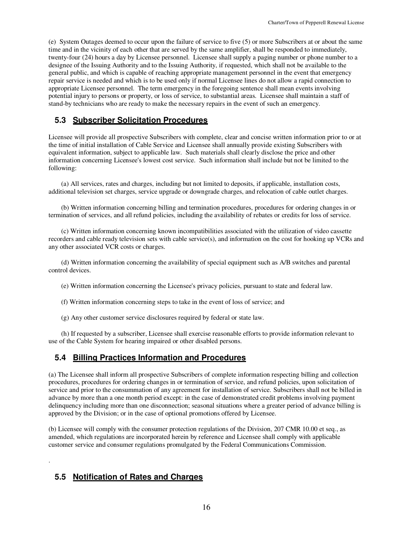(e) System Outages deemed to occur upon the failure of service to five (5) or more Subscribers at or about the same time and in the vicinity of each other that are served by the same amplifier, shall be responded to immediately, twenty-four (24) hours a day by Licensee personnel. Licensee shall supply a paging number or phone number to a designee of the Issuing Authority and to the Issuing Authority, if requested, which shall not be available to the general public, and which is capable of reaching appropriate management personnel in the event that emergency repair service is needed and which is to be used only if normal Licensee lines do not allow a rapid connection to appropriate Licensee personnel. The term emergency in the foregoing sentence shall mean events involving potential injury to persons or property, or loss of service, to substantial areas. Licensee shall maintain a staff of stand-by technicians who are ready to make the necessary repairs in the event of such an emergency.

## **5.3 Subscriber Solicitation Procedures**

Licensee will provide all prospective Subscribers with complete, clear and concise written information prior to or at the time of initial installation of Cable Service and Licensee shall annually provide existing Subscribers with equivalent information, subject to applicable law. Such materials shall clearly disclose the price and other information concerning Licensee's lowest cost service. Such information shall include but not be limited to the following:

 (a) All services, rates and charges, including but not limited to deposits, if applicable, installation costs, additional television set charges, service upgrade or downgrade charges, and relocation of cable outlet charges.

 (b) Written information concerning billing and termination procedures, procedures for ordering changes in or termination of services, and all refund policies, including the availability of rebates or credits for loss of service.

 (c) Written information concerning known incompatibilities associated with the utilization of video cassette recorders and cable ready television sets with cable service(s), and information on the cost for hooking up VCRs and any other associated VCR costs or charges.

 (d) Written information concerning the availability of special equipment such as A/B switches and parental control devices.

(e) Written information concerning the Licensee's privacy policies, pursuant to state and federal law.

- (f) Written information concerning steps to take in the event of loss of service; and
- (g) Any other customer service disclosures required by federal or state law.

 (h) If requested by a subscriber, Licensee shall exercise reasonable efforts to provide information relevant to use of the Cable System for hearing impaired or other disabled persons.

## **5.4 Billing Practices Information and Procedures**

(a) The Licensee shall inform all prospective Subscribers of complete information respecting billing and collection procedures, procedures for ordering changes in or termination of service, and refund policies, upon solicitation of service and prior to the consummation of any agreement for installation of service. Subscribers shall not be billed in advance by more than a one month period except: in the case of demonstrated credit problems involving payment delinquency including more than one disconnection; seasonal situations where a greater period of advance billing is approved by the Division; or in the case of optional promotions offered by Licensee.

(b) Licensee will comply with the consumer protection regulations of the Division, 207 CMR 10.00 et seq., as amended, which regulations are incorporated herein by reference and Licensee shall comply with applicable customer service and consumer regulations promulgated by the Federal Communications Commission.

## **5.5 Notification of Rates and Charges**

.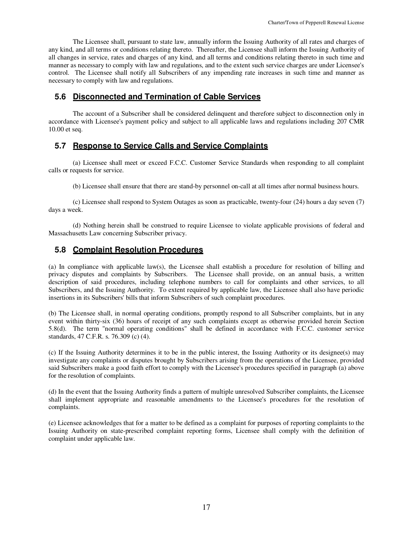The Licensee shall, pursuant to state law, annually inform the Issuing Authority of all rates and charges of any kind, and all terms or conditions relating thereto. Thereafter, the Licensee shall inform the Issuing Authority of all changes in service, rates and charges of any kind, and all terms and conditions relating thereto in such time and manner as necessary to comply with law and regulations, and to the extent such service charges are under Licensee's control. The Licensee shall notify all Subscribers of any impending rate increases in such time and manner as necessary to comply with law and regulations.

## **5.6 Disconnected and Termination of Cable Services**

The account of a Subscriber shall be considered delinquent and therefore subject to disconnection only in accordance with Licensee's payment policy and subject to all applicable laws and regulations including 207 CMR 10.00 et seq.

#### **5.7 Response to Service Calls and Service Complaints**

(a) Licensee shall meet or exceed F.C.C. Customer Service Standards when responding to all complaint calls or requests for service.

(b) Licensee shall ensure that there are stand-by personnel on-call at all times after normal business hours.

(c) Licensee shall respond to System Outages as soon as practicable, twenty-four (24) hours a day seven (7) days a week.

(d) Nothing herein shall be construed to require Licensee to violate applicable provisions of federal and Massachusetts Law concerning Subscriber privacy.

## **5.8 Complaint Resolution Procedures**

(a) In compliance with applicable law(s), the Licensee shall establish a procedure for resolution of billing and privacy disputes and complaints by Subscribers. The Licensee shall provide, on an annual basis, a written description of said procedures, including telephone numbers to call for complaints and other services, to all Subscribers, and the Issuing Authority. To extent required by applicable law, the Licensee shall also have periodic insertions in its Subscribers' bills that inform Subscribers of such complaint procedures.

(b) The Licensee shall, in normal operating conditions, promptly respond to all Subscriber complaints, but in any event within thirty-six (36) hours of receipt of any such complaints except as otherwise provided herein Section 5.8(d). The term "normal operating conditions" shall be defined in accordance with F.C.C. customer service standards, 47 C.F.R. s. 76.309 (c) (4).

(c) If the Issuing Authority determines it to be in the public interest, the Issuing Authority or its designee(s) may investigate any complaints or disputes brought by Subscribers arising from the operations of the Licensee, provided said Subscribers make a good faith effort to comply with the Licensee's procedures specified in paragraph (a) above for the resolution of complaints.

(d) In the event that the Issuing Authority finds a pattern of multiple unresolved Subscriber complaints, the Licensee shall implement appropriate and reasonable amendments to the Licensee's procedures for the resolution of complaints.

(e) Licensee acknowledges that for a matter to be defined as a complaint for purposes of reporting complaints to the Issuing Authority on state-prescribed complaint reporting forms, Licensee shall comply with the definition of complaint under applicable law.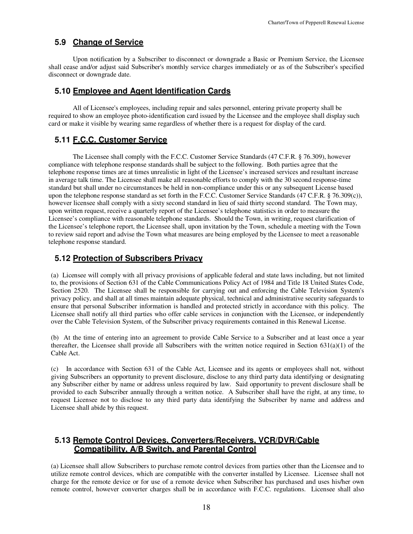## **5.9 Change of Service**

Upon notification by a Subscriber to disconnect or downgrade a Basic or Premium Service, the Licensee shall cease and/or adjust said Subscriber's monthly service charges immediately or as of the Subscriber's specified disconnect or downgrade date.

### **5.10 Employee and Agent Identification Cards**

All of Licensee's employees, including repair and sales personnel, entering private property shall be required to show an employee photo-identification card issued by the Licensee and the employee shall display such card or make it visible by wearing same regardless of whether there is a request for display of the card.

## **5.11 F.C.C. Customer Service**

The Licensee shall comply with the F.C.C. Customer Service Standards (47 C.F.R. § 76.309), however compliance with telephone response standards shall be subject to the following. Both parties agree that the telephone response times are at times unrealistic in light of the Licensee's increased services and resultant increase in average talk time. The Licensee shall make all reasonable efforts to comply with the 30 second response-time standard but shall under no circumstances be held in non-compliance under this or any subsequent License based upon the telephone response standard as set forth in the F.C.C. Customer Service Standards (47 C.F.R.  $\S$  76.309(c)), however licensee shall comply with a sixty second standard in lieu of said thirty second standard. The Town may, upon written request, receive a quarterly report of the Licensee's telephone statistics in order to measure the Licensee's compliance with reasonable telephone standards. Should the Town, in writing, request clarification of the Licensee's telephone report, the Licensee shall, upon invitation by the Town, schedule a meeting with the Town to review said report and advise the Town what measures are being employed by the Licensee to meet a reasonable telephone response standard.

## **5.12 Protection of Subscribers Privacy**

(a) Licensee will comply with all privacy provisions of applicable federal and state laws including, but not limited to, the provisions of Section 631 of the Cable Communications Policy Act of 1984 and Title 18 United States Code, Section 2520. The Licensee shall be responsible for carrying out and enforcing the Cable Television System's privacy policy, and shall at all times maintain adequate physical, technical and administrative security safeguards to ensure that personal Subscriber information is handled and protected strictly in accordance with this policy. The Licensee shall notify all third parties who offer cable services in conjunction with the Licensee, or independently over the Cable Television System, of the Subscriber privacy requirements contained in this Renewal License.

(b) At the time of entering into an agreement to provide Cable Service to a Subscriber and at least once a year thereafter, the Licensee shall provide all Subscribers with the written notice required in Section  $631(a)(1)$  of the Cable Act.

(c) In accordance with Section 631 of the Cable Act, Licensee and its agents or employees shall not, without giving Subscribers an opportunity to prevent disclosure, disclose to any third party data identifying or designating any Subscriber either by name or address unless required by law. Said opportunity to prevent disclosure shall be provided to each Subscriber annually through a written notice. A Subscriber shall have the right, at any time, to request Licensee not to disclose to any third party data identifying the Subscriber by name and address and Licensee shall abide by this request.

## **5.13 Remote Control Devices, Converters/Receivers, VCR/DVR/Cable Compatibility, A/B Switch, and Parental Control**

(a) Licensee shall allow Subscribers to purchase remote control devices from parties other than the Licensee and to utilize remote control devices, which are compatible with the converter installed by Licensee. Licensee shall not charge for the remote device or for use of a remote device when Subscriber has purchased and uses his/her own remote control, however converter charges shall be in accordance with F.C.C. regulations. Licensee shall also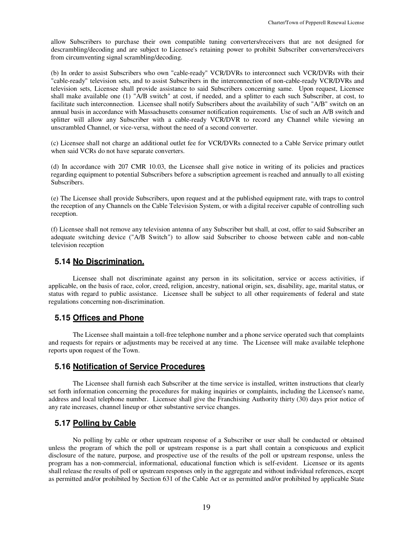allow Subscribers to purchase their own compatible tuning converters/receivers that are not designed for descrambling/decoding and are subject to Licensee's retaining power to prohibit Subscriber converters/receivers from circumventing signal scrambling/decoding.

(b) In order to assist Subscribers who own "cable-ready" VCR/DVRs to interconnect such VCR/DVRs with their "cable-ready" television sets, and to assist Subscribers in the interconnection of non-cable-ready VCR/DVRs and television sets, Licensee shall provide assistance to said Subscribers concerning same. Upon request, Licensee shall make available one (1) "A/B switch" at cost, if needed, and a splitter to each such Subscriber, at cost, to facilitate such interconnection. Licensee shall notify Subscribers about the availability of such "A/B" switch on an annual basis in accordance with Massachusetts consumer notification requirements. Use of such an A/B switch and splitter will allow any Subscriber with a cable-ready VCR/DVR to record any Channel while viewing an unscrambled Channel, or vice-versa, without the need of a second converter.

(c) Licensee shall not charge an additional outlet fee for VCR/DVRs connected to a Cable Service primary outlet when said VCRs do not have separate converters.

(d) In accordance with 207 CMR 10.03, the Licensee shall give notice in writing of its policies and practices regarding equipment to potential Subscribers before a subscription agreement is reached and annually to all existing Subscribers.

(e) The Licensee shall provide Subscribers, upon request and at the published equipment rate, with traps to control the reception of any Channels on the Cable Television System, or with a digital receiver capable of controlling such reception.

(f) Licensee shall not remove any television antenna of any Subscriber but shall, at cost, offer to said Subscriber an adequate switching device ("A/B Switch") to allow said Subscriber to choose between cable and non-cable television reception

#### **5.14 No Discrimination.**

Licensee shall not discriminate against any person in its solicitation, service or access activities, if applicable, on the basis of race, color, creed, religion, ancestry, national origin, sex, disability, age, marital status, or status with regard to public assistance. Licensee shall be subject to all other requirements of federal and state regulations concerning non-discrimination.

## **5.15 Offices and Phone**

The Licensee shall maintain a toll-free telephone number and a phone service operated such that complaints and requests for repairs or adjustments may be received at any time. The Licensee will make available telephone reports upon request of the Town.

## **5.16 Notification of Service Procedures**

The Licensee shall furnish each Subscriber at the time service is installed, written instructions that clearly set forth information concerning the procedures for making inquiries or complaints, including the Licensee's name, address and local telephone number. Licensee shall give the Franchising Authority thirty (30) days prior notice of any rate increases, channel lineup or other substantive service changes.

#### **5.17 Polling by Cable**

No polling by cable or other upstream response of a Subscriber or user shall be conducted or obtained unless the program of which the poll or upstream response is a part shall contain a conspicuous and explicit disclosure of the nature, purpose, and prospective use of the results of the poll or upstream response, unless the program has a non-commercial, informational, educational function which is self-evident. Licensee or its agents shall release the results of poll or upstream responses only in the aggregate and without individual references, except as permitted and/or prohibited by Section 631 of the Cable Act or as permitted and/or prohibited by applicable State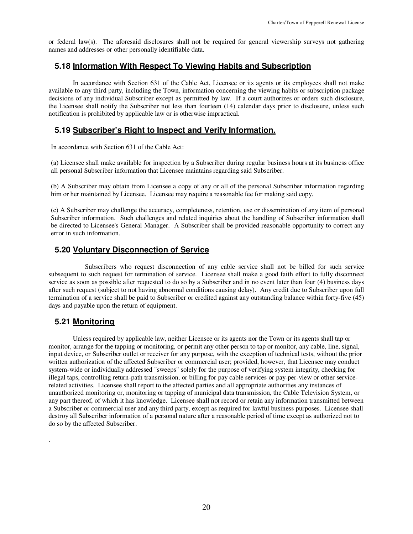or federal law(s). The aforesaid disclosures shall not be required for general viewership surveys not gathering names and addresses or other personally identifiable data.

#### **5.18 Information With Respect To Viewing Habits and Subscription**

In accordance with Section 631 of the Cable Act, Licensee or its agents or its employees shall not make available to any third party, including the Town, information concerning the viewing habits or subscription package decisions of any individual Subscriber except as permitted by law. If a court authorizes or orders such disclosure, the Licensee shall notify the Subscriber not less than fourteen (14) calendar days prior to disclosure, unless such notification is prohibited by applicable law or is otherwise impractical.

## **5.19 Subscriber's Right to Inspect and Verify Information.**

In accordance with Section 631 of the Cable Act:

(a) Licensee shall make available for inspection by a Subscriber during regular business hours at its business office all personal Subscriber information that Licensee maintains regarding said Subscriber.

(b) A Subscriber may obtain from Licensee a copy of any or all of the personal Subscriber information regarding him or her maintained by Licensee. Licensee may require a reasonable fee for making said copy.

(c) A Subscriber may challenge the accuracy, completeness, retention, use or dissemination of any item of personal Subscriber information. Such challenges and related inquiries about the handling of Subscriber information shall be directed to Licensee's General Manager. A Subscriber shall be provided reasonable opportunity to correct any error in such information.

## **5.20 Voluntary Disconnection of Service**

 Subscribers who request disconnection of any cable service shall not be billed for such service subsequent to such request for termination of service. Licensee shall make a good faith effort to fully disconnect service as soon as possible after requested to do so by a Subscriber and in no event later than four (4) business days after such request (subject to not having abnormal conditions causing delay). Any credit due to Subscriber upon full termination of a service shall be paid to Subscriber or credited against any outstanding balance within forty-five (45) days and payable upon the return of equipment.

## **5.21 Monitoring**

.

 Unless required by applicable law, neither Licensee or its agents nor the Town or its agents shall tap or monitor, arrange for the tapping or monitoring, or permit any other person to tap or monitor, any cable, line, signal, input device, or Subscriber outlet or receiver for any purpose, with the exception of technical tests, without the prior written authorization of the affected Subscriber or commercial user; provided, however, that Licensee may conduct system-wide or individually addressed "sweeps" solely for the purpose of verifying system integrity, checking for illegal taps, controlling return-path transmission, or billing for pay cable services or pay-per-view or other servicerelated activities. Licensee shall report to the affected parties and all appropriate authorities any instances of unauthorized monitoring or, monitoring or tapping of municipal data transmission, the Cable Television System, or any part thereof, of which it has knowledge. Licensee shall not record or retain any information transmitted between a Subscriber or commercial user and any third party, except as required for lawful business purposes. Licensee shall destroy all Subscriber information of a personal nature after a reasonable period of time except as authorized not to do so by the affected Subscriber.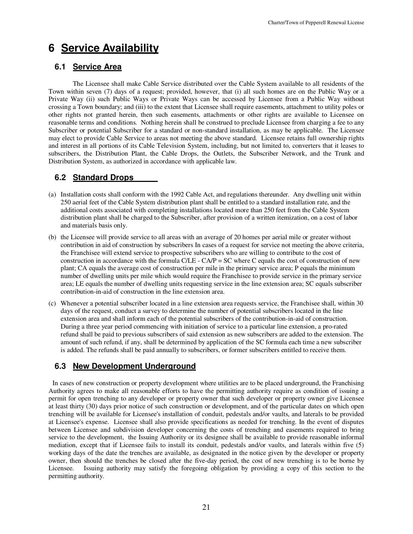## **6 Service Availability**

## **6.1 Service Area**

The Licensee shall make Cable Service distributed over the Cable System available to all residents of the Town within seven (7) days of a request; provided, however, that (i) all such homes are on the Public Way or a Private Way (ii) such Public Ways or Private Ways can be accessed by Licensee from a Public Way without crossing a Town boundary; and (iii) to the extent that Licensee shall require easements, attachment to utility poles or other rights not granted herein, then such easements, attachments or other rights are available to Licensee on reasonable terms and conditions. Nothing herein shall be construed to preclude Licensee from charging a fee to any Subscriber or potential Subscriber for a standard or non-standard installation, as may be applicable. The Licensee may elect to provide Cable Service to areas not meeting the above standard. Licensee retains full ownership rights and interest in all portions of its Cable Television System, including, but not limited to, converters that it leases to subscribers, the Distribution Plant, the Cable Drops, the Outlets, the Subscriber Network, and the Trunk and Distribution System, as authorized in accordance with applicable law.

## **6.2 Standard Drops**

- (a) Installation costs shall conform with the 1992 Cable Act, and regulations thereunder. Any dwelling unit within 250 aerial feet of the Cable System distribution plant shall be entitled to a standard installation rate, and the additional costs associated with completing installations located more than 250 feet from the Cable System distribution plant shall be charged to the Subscriber, after provision of a written itemization, on a cost of labor and materials basis only.
- (b) the Licensee will provide service to all areas with an average of 20 homes per aerial mile or greater without contribution in aid of construction by subscribers In cases of a request for service not meeting the above criteria, the Franchisee will extend service to prospective subscribers who are willing to contribute to the cost of construction in accordance with the formula C/LE - CA/P = SC where C equals the cost of construction of new plant; CA equals the average cost of construction per mile in the primary service area; P equals the minimum number of dwelling units per mile which would require the Franchisee to provide service in the primary service area; LE equals the number of dwelling units requesting service in the line extension area; SC equals subscriber contribution-in-aid of construction in the line extension area.
- (c) Whenever a potential subscriber located in a line extension area requests service, the Franchisee shall, within 30 days of the request, conduct a survey to determine the number of potential subscribers located in the line extension area and shall inform each of the potential subscribers of the contribution-in-aid of construction. During a three year period commencing with initiation of service to a particular line extension, a pro-rated refund shall be paid to previous subscribers of said extension as new subscribers are added to the extension. The amount of such refund, if any, shall be determined by application of the SC formula each time a new subscriber is added. The refunds shall be paid annually to subscribers, or former subscribers entitled to receive them.

## **6.3 New Development Underground**

In cases of new construction or property development where utilities are to be placed underground, the Franchising Authority agrees to make all reasonable efforts to have the permitting authority require as condition of issuing a permit for open trenching to any developer or property owner that such developer or property owner give Licensee at least thirty (30) days prior notice of such construction or development, and of the particular dates on which open trenching will be available for Licensee's installation of conduit, pedestals and/or vaults, and laterals to be provided at Licensee's expense. Licensee shall also provide specifications as needed for trenching. In the event of disputes between Licensee and subdivision developer concerning the costs of trenching and easements required to bring service to the development, the Issuing Authority or its designee shall be available to provide reasonable informal mediation, except that if Licensee fails to install its conduit, pedestals and/or vaults, and laterals within five (5) working days of the date the trenches are available, as designated in the notice given by the developer or property owner, then should the trenches be closed after the five-day period, the cost of new trenching is to be borne by Licensee. Issuing authority may satisfy the foregoing obligation by providing a copy of this section to the permitting authority.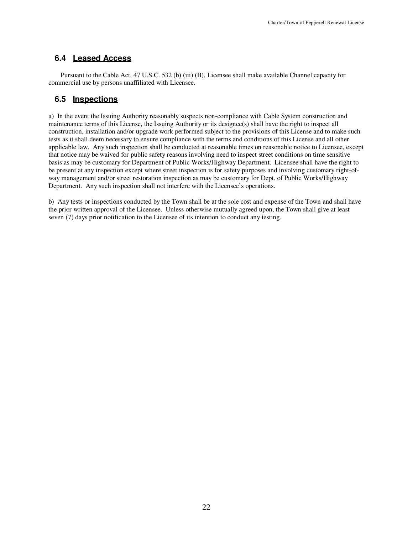## **6.4 Leased Access**

 Pursuant to the Cable Act, 47 U.S.C. 532 (b) (iii) (B), Licensee shall make available Channel capacity for commercial use by persons unaffiliated with Licensee.

### **6.5 Inspections**

a) In the event the Issuing Authority reasonably suspects non-compliance with Cable System construction and maintenance terms of this License, the Issuing Authority or its designee(s) shall have the right to inspect all construction, installation and/or upgrade work performed subject to the provisions of this License and to make such tests as it shall deem necessary to ensure compliance with the terms and conditions of this License and all other applicable law. Any such inspection shall be conducted at reasonable times on reasonable notice to Licensee, except that notice may be waived for public safety reasons involving need to inspect street conditions on time sensitive basis as may be customary for Department of Public Works/Highway Department. Licensee shall have the right to be present at any inspection except where street inspection is for safety purposes and involving customary right-ofway management and/or street restoration inspection as may be customary for Dept. of Public Works/Highway Department. Any such inspection shall not interfere with the Licensee's operations.

b) Any tests or inspections conducted by the Town shall be at the sole cost and expense of the Town and shall have the prior written approval of the Licensee. Unless otherwise mutually agreed upon, the Town shall give at least seven (7) days prior notification to the Licensee of its intention to conduct any testing.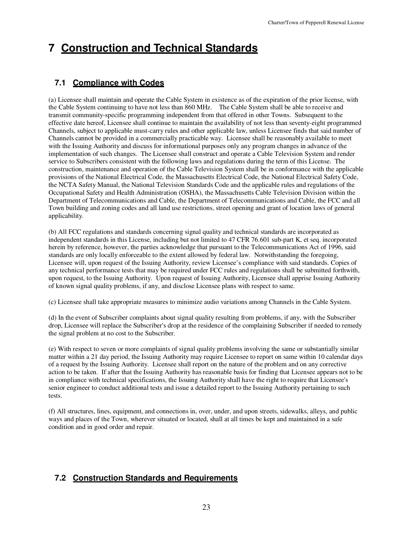## **7 Construction and Technical Standards**

## **7.1 Compliance with Codes**

(a) Licensee shall maintain and operate the Cable System in existence as of the expiration of the prior license, with the Cable System continuing to have not less than 860 MHz. The Cable System shall be able to receive and transmit community-specific programming independent from that offered in other Towns. Subsequent to the effective date hereof, Licensee shall continue to maintain the availability of not less than seventy-eight programmed Channels, subject to applicable must-carry rules and other applicable law, unless Licensee finds that said number of Channels cannot be provided in a commercially practicable way. Licensee shall be reasonably available to meet with the Issuing Authority and discuss for informational purposes only any program changes in advance of the implementation of such changes. The Licensee shall construct and operate a Cable Television System and render service to Subscribers consistent with the following laws and regulations during the term of this License. The construction, maintenance and operation of the Cable Television System shall be in conformance with the applicable provisions of the National Electrical Code, the Massachusetts Electrical Code, the National Electrical Safety Code, the NCTA Safety Manual, the National Television Standards Code and the applicable rules and regulations of the Occupational Safety and Health Administration (OSHA), the Massachusetts Cable Television Division within the Department of Telecommunications and Cable, the Department of Telecommunications and Cable, the FCC and all Town building and zoning codes and all land use restrictions, street opening and grant of location laws of general applicability.

(b) All FCC regulations and standards concerning signal quality and technical standards are incorporated as independent standards in this License, including but not limited to 47 CFR 76.601 sub-part K, et seq. incorporated herein by reference, however, the parties acknowledge that pursuant to the Telecommunications Act of 1996, said standards are only locally enforceable to the extent allowed by federal law. Notwithstanding the foregoing, Licensee will, upon request of the Issuing Authority, review Licensee's compliance with said standards. Copies of any technical performance tests that may be required under FCC rules and regulations shall be submitted forthwith, upon request, to the Issuing Authority. Upon request of Issuing Authority, Licensee shall apprise Issuing Authority of known signal quality problems, if any, and disclose Licensee plans with respect to same.

(c) Licensee shall take appropriate measures to minimize audio variations among Channels in the Cable System.

(d) In the event of Subscriber complaints about signal quality resulting from problems, if any, with the Subscriber drop, Licensee will replace the Subscriber's drop at the residence of the complaining Subscriber if needed to remedy the signal problem at no cost to the Subscriber.

(e) With respect to seven or more complaints of signal quality problems involving the same or substantially similar matter within a 21 day period, the Issuing Authority may require Licensee to report on same within 10 calendar days of a request by the Issuing Authority. Licensee shall report on the nature of the problem and on any corrective action to be taken. If after that the Issuing Authority has reasonable basis for finding that Licensee appears not to be in compliance with technical specifications, the Issuing Authority shall have the right to require that Licensee's senior engineer to conduct additional tests and issue a detailed report to the Issuing Authority pertaining to such tests.

(f) All structures, lines, equipment, and connections in, over, under, and upon streets, sidewalks, alleys, and public ways and places of the Town, wherever situated or located, shall at all times be kept and maintained in a safe condition and in good order and repair.

## **7.2 Construction Standards and Requirements**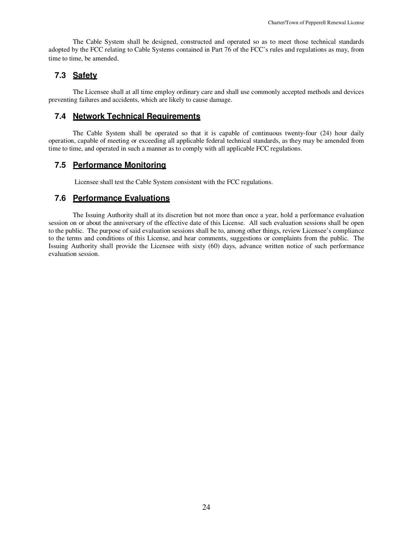The Cable System shall be designed, constructed and operated so as to meet those technical standards adopted by the FCC relating to Cable Systems contained in Part 76 of the FCC's rules and regulations as may, from time to time, be amended.

## **7.3 Safety**

The Licensee shall at all time employ ordinary care and shall use commonly accepted methods and devices preventing failures and accidents, which are likely to cause damage.

### **7.4 Network Technical Requirements**

The Cable System shall be operated so that it is capable of continuous twenty-four (24) hour daily operation, capable of meeting or exceeding all applicable federal technical standards, as they may be amended from time to time, and operated in such a manner as to comply with all applicable FCC regulations.

## **7.5 Performance Monitoring**

Licensee shall test the Cable System consistent with the FCC regulations.

#### **7.6 Performance Evaluations**

The Issuing Authority shall at its discretion but not more than once a year, hold a performance evaluation session on or about the anniversary of the effective date of this License. All such evaluation sessions shall be open to the public. The purpose of said evaluation sessions shall be to, among other things, review Licensee's compliance to the terms and conditions of this License, and hear comments, suggestions or complaints from the public. The Issuing Authority shall provide the Licensee with sixty (60) days, advance written notice of such performance evaluation session.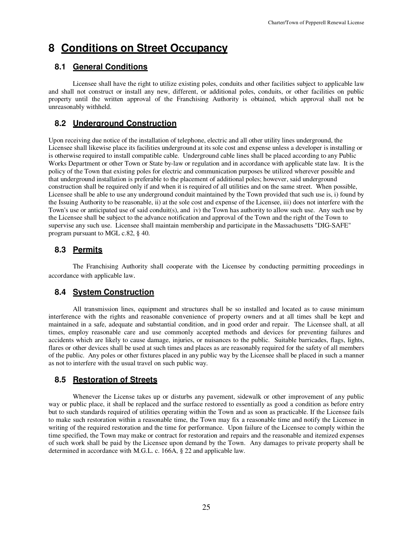## **8 Conditions on Street Occupancy**

### **8.1 General Conditions**

Licensee shall have the right to utilize existing poles, conduits and other facilities subject to applicable law and shall not construct or install any new, different, or additional poles, conduits, or other facilities on public property until the written approval of the Franchising Authority is obtained, which approval shall not be unreasonably withheld.

## **8.2 Underground Construction**

Upon receiving due notice of the installation of telephone, electric and all other utility lines underground, the Licensee shall likewise place its facilities underground at its sole cost and expense unless a developer is installing or is otherwise required to install compatible cable. Underground cable lines shall be placed according to any Public Works Department or other Town or State by-law or regulation and in accordance with applicable state law. It is the policy of the Town that existing poles for electric and communication purposes be utilized wherever possible and that underground installation is preferable to the placement of additional poles; however, said underground construction shall be required only if and when it is required of all utilities and on the same street. When possible, Licensee shall be able to use any underground conduit maintained by the Town provided that such use is, i) found by the Issuing Authority to be reasonable, ii) at the sole cost and expense of the Licensee, iii) does not interfere with the Town's use or anticipated use of said conduit(s), and iv) the Town has authority to allow such use. Any such use by the Licensee shall be subject to the advance notification and approval of the Town and the right of the Town to supervise any such use. Licensee shall maintain membership and participate in the Massachusetts "DIG-SAFE" program pursuant to MGL c.82, § 40.

## **8.3 Permits**

The Franchising Authority shall cooperate with the Licensee by conducting permitting proceedings in accordance with applicable law.

## **8.4 System Construction**

All transmission lines, equipment and structures shall be so installed and located as to cause minimum interference with the rights and reasonable convenience of property owners and at all times shall be kept and maintained in a safe, adequate and substantial condition, and in good order and repair. The Licensee shall, at all times, employ reasonable care and use commonly accepted methods and devices for preventing failures and accidents which are likely to cause damage, injuries, or nuisances to the public. Suitable barricades, flags, lights, flares or other devices shall be used at such times and places as are reasonably required for the safety of all members of the public. Any poles or other fixtures placed in any public way by the Licensee shall be placed in such a manner as not to interfere with the usual travel on such public way.

## **8.5 Restoration of Streets**

Whenever the License takes up or disturbs any pavement, sidewalk or other improvement of any public way or public place, it shall be replaced and the surface restored to essentially as good a condition as before entry but to such standards required of utilities operating within the Town and as soon as practicable. If the Licensee fails to make such restoration within a reasonable time, the Town may fix a reasonable time and notify the Licensee in writing of the required restoration and the time for performance. Upon failure of the Licensee to comply within the time specified, the Town may make or contract for restoration and repairs and the reasonable and itemized expenses of such work shall be paid by the Licensee upon demand by the Town. Any damages to private property shall be determined in accordance with M.G.L. c. 166A, § 22 and applicable law.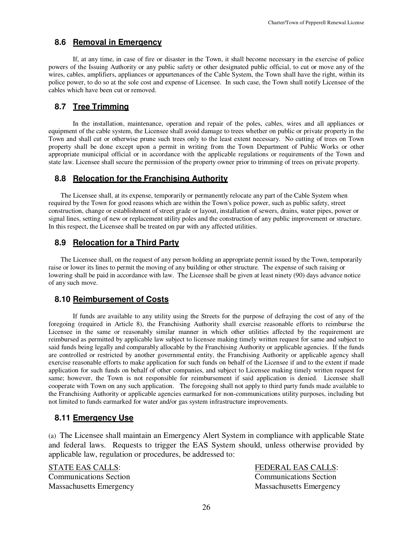## **8.6 Removal in Emergency**

If, at any time, in case of fire or disaster in the Town, it shall become necessary in the exercise of police powers of the Issuing Authority or any public safety or other designated public official, to cut or move any of the wires, cables, amplifiers, appliances or appurtenances of the Cable System, the Town shall have the right, within its police power, to do so at the sole cost and expense of Licensee. In such case, the Town shall notify Licensee of the cables which have been cut or removed.

## **8.7 Tree Trimming**

In the installation, maintenance, operation and repair of the poles, cables, wires and all appliances or equipment of the cable system, the Licensee shall avoid damage to trees whether on public or private property in the Town and shall cut or otherwise prune such trees only to the least extent necessary. No cutting of trees on Town property shall be done except upon a permit in writing from the Town Department of Public Works or other appropriate municipal official or in accordance with the applicable regulations or requirements of the Town and state law. Licensee shall secure the permission of the property owner prior to trimming of trees on private property.

#### **8.8 Relocation for the Franchising Authority**

 The Licensee shall, at its expense, temporarily or permanently relocate any part of the Cable System when required by the Town for good reasons which are within the Town's police power, such as public safety, street construction, change or establishment of street grade or layout, installation of sewers, drains, water pipes, power or signal lines, setting of new or replacement utility poles and the construction of any public improvement or structure. In this respect, the Licensee shall be treated on par with any affected utilities.

## **8.9 Relocation for a Third Party**

 The Licensee shall, on the request of any person holding an appropriate permit issued by the Town, temporarily raise or lower its lines to permit the moving of any building or other structure. The expense of such raising or lowering shall be paid in accordance with law. The Licensee shall be given at least ninety (90) days advance notice of any such move.

## **8.10 Reimbursement of Costs**

If funds are available to any utility using the Streets for the purpose of defraying the cost of any of the foregoing (required in Article 8), the Franchising Authority shall exercise reasonable efforts to reimburse the Licensee in the same or reasonably similar manner in which other utilities affected by the requirement are reimbursed as permitted by applicable law subject to licensee making timely written request for same and subject to said funds being legally and comparably allocable by the Franchising Authority or applicable agencies. If the funds are controlled or restricted by another governmental entity, the Franchising Authority or applicable agency shall exercise reasonable efforts to make application for such funds on behalf of the Licensee if and to the extent if made application for such funds on behalf of other companies, and subject to Licensee making timely written request for same; however, the Town is not responsible for reimbursement if said application is denied. Licensee shall cooperate with Town on any such application. The foregoing shall not apply to third party funds made available to the Franchising Authority or applicable agencies earmarked for non-communications utility purposes, including but not limited to funds earmarked for water and/or gas system infrastructure improvements.

## **8.11 Emergency Use**

(a) The Licensee shall maintain an Emergency Alert System in compliance with applicable State and federal laws. Requests to trigger the EAS System should, unless otherwise provided by applicable law, regulation or procedures, be addressed to:

Massachusetts Emergency Massachusetts Emergency

STATE EAS CALLS: FEDERAL EAS CALLS: Communications Section Communications Section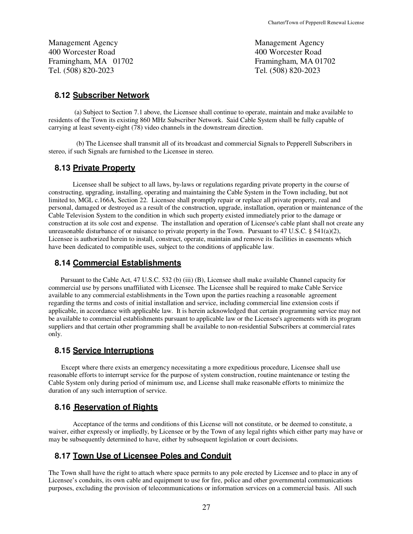| Management Agency    | Management Agency    |
|----------------------|----------------------|
| 400 Worcester Road   | 400 Worcester Road   |
| Framingham, MA 01702 | Framingham, MA 01702 |
| Tel. (508) 820-2023  | Tel. (508) 820-2023  |
|                      |                      |

#### **8.12 Subscriber Network**

 (a) Subject to Section 7.1 above, the Licensee shall continue to operate, maintain and make available to residents of the Town its existing 860 MHz Subscriber Network. Said Cable System shall be fully capable of carrying at least seventy-eight (78) video channels in the downstream direction.

 (b) The Licensee shall transmit all of its broadcast and commercial Signals to Pepperell Subscribers in stereo, if such Signals are furnished to the Licensee in stereo.

#### **8.13 Private Property**

Licensee shall be subject to all laws, by-laws or regulations regarding private property in the course of constructing, upgrading, installing, operating and maintaining the Cable System in the Town including, but not limited to, MGL c.166A, Section 22. Licensee shall promptly repair or replace all private property, real and personal, damaged or destroyed as a result of the construction, upgrade, installation, operation or maintenance of the Cable Television System to the condition in which such property existed immediately prior to the damage or construction at its sole cost and expense. The installation and operation of Licensee's cable plant shall not create any unreasonable disturbance of or nuisance to private property in the Town. Pursuant to 47 U.S.C. § 541(a)(2), Licensee is authorized herein to install, construct, operate, maintain and remove its facilities in easements which have been dedicated to compatible uses, subject to the conditions of applicable law.

#### **8.14 Commercial Establishments**

 Pursuant to the Cable Act, 47 U.S.C. 532 (b) (iii) (B), Licensee shall make available Channel capacity for commercial use by persons unaffiliated with Licensee. The Licensee shall be required to make Cable Service available to any commercial establishments in the Town upon the parties reaching a reasonable agreement regarding the terms and costs of initial installation and service, including commercial line extension costs if applicable, in accordance with applicable law. It is herein acknowledged that certain programming service may not be available to commercial establishments pursuant to applicable law or the Licensee's agreements with its program suppliers and that certain other programming shall be available to non-residential Subscribers at commercial rates only.

#### **8.15 Service Interruptions**

 Except where there exists an emergency necessitating a more expeditious procedure, Licensee shall use reasonable efforts to interrupt service for the purpose of system construction, routine maintenance or testing the Cable System only during period of minimum use, and License shall make reasonable efforts to minimize the duration of any such interruption of service.

#### **8.16 Reservation of Rights**

Acceptance of the terms and conditions of this License will not constitute, or be deemed to constitute, a waiver, either expressly or impliedly, by Licensee or by the Town of any legal rights which either party may have or may be subsequently determined to have, either by subsequent legislation or court decisions.

#### **8.17 Town Use of Licensee Poles and Conduit**

The Town shall have the right to attach where space permits to any pole erected by Licensee and to place in any of Licensee's conduits, its own cable and equipment to use for fire, police and other governmental communications purposes, excluding the provision of telecommunications or information services on a commercial basis. All such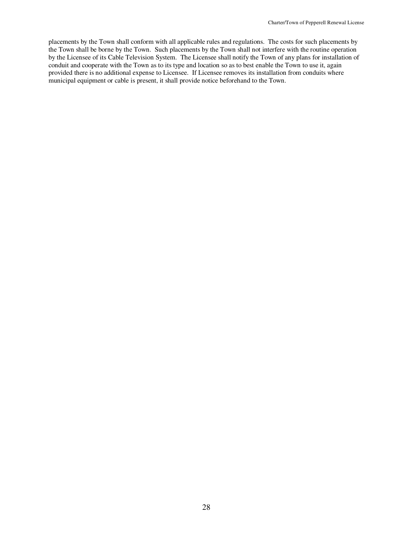placements by the Town shall conform with all applicable rules and regulations. The costs for such placements by the Town shall be borne by the Town. Such placements by the Town shall not interfere with the routine operation by the Licensee of its Cable Television System. The Licensee shall notify the Town of any plans for installation of conduit and cooperate with the Town as to its type and location so as to best enable the Town to use it, again provided there is no additional expense to Licensee. If Licensee removes its installation from conduits where municipal equipment or cable is present, it shall provide notice beforehand to the Town.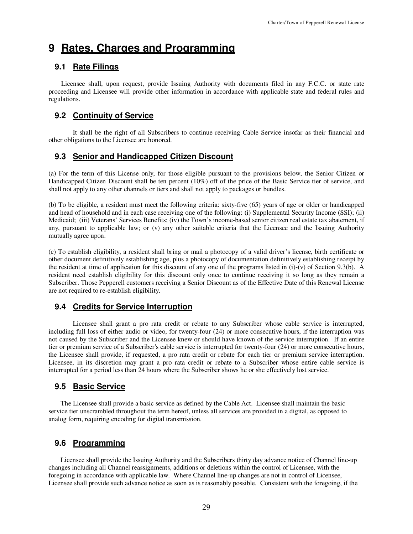## **9 Rates, Charges and Programming**

### **9.1 Rate Filings**

 Licensee shall, upon request, provide Issuing Authority with documents filed in any F.C.C. or state rate proceeding and Licensee will provide other information in accordance with applicable state and federal rules and regulations.

## **9.2 Continuity of Service**

It shall be the right of all Subscribers to continue receiving Cable Service insofar as their financial and other obligations to the Licensee are honored.

#### **9.3 Senior and Handicapped Citizen Discount**

(a) For the term of this License only, for those eligible pursuant to the provisions below, the Senior Citizen or Handicapped Citizen Discount shall be ten percent (10%) off of the price of the Basic Service tier of service, and shall not apply to any other channels or tiers and shall not apply to packages or bundles.

(b) To be eligible, a resident must meet the following criteria: sixty-five (65) years of age or older or handicapped and head of household and in each case receiving one of the following: (i) Supplemental Security Income (SSI); (ii) Medicaid; (iii) Veterans' Services Benefits; (iv) the Town's income-based senior citizen real estate tax abatement, if any, pursuant to applicable law; or (v) any other suitable criteria that the Licensee and the Issuing Authority mutually agree upon.

(c) To establish eligibility, a resident shall bring or mail a photocopy of a valid driver's license, birth certificate or other document definitively establishing age, plus a photocopy of documentation definitively establishing receipt by the resident at time of application for this discount of any one of the programs listed in (i)-(v) of Section 9.3(b). A resident need establish eligibility for this discount only once to continue receiving it so long as they remain a Subscriber. Those Pepperell customers receiving a Senior Discount as of the Effective Date of this Renewal License are not required to re-establish eligibility.

## **9.4 Credits for Service Interruption**

Licensee shall grant a pro rata credit or rebate to any Subscriber whose cable service is interrupted, including full loss of either audio or video, for twenty-four (24) or more consecutive hours, if the interruption was not caused by the Subscriber and the Licensee knew or should have known of the service interruption. If an entire tier or premium service of a Subscriber's cable service is interrupted for twenty-four (24) or more consecutive hours, the Licensee shall provide, if requested, a pro rata credit or rebate for each tier or premium service interruption. Licensee, in its discretion may grant a pro rata credit or rebate to a Subscriber whose entire cable service is interrupted for a period less than 24 hours where the Subscriber shows he or she effectively lost service.

## **9.5 Basic Service**

 The Licensee shall provide a basic service as defined by the Cable Act. Licensee shall maintain the basic service tier unscrambled throughout the term hereof, unless all services are provided in a digital, as opposed to analog form, requiring encoding for digital transmission.

## **9.6 Programming**

 Licensee shall provide the Issuing Authority and the Subscribers thirty day advance notice of Channel line-up changes including all Channel reassignments, additions or deletions within the control of Licensee, with the foregoing in accordance with applicable law. Where Channel line-up changes are not in control of Licensee, Licensee shall provide such advance notice as soon as is reasonably possible. Consistent with the foregoing, if the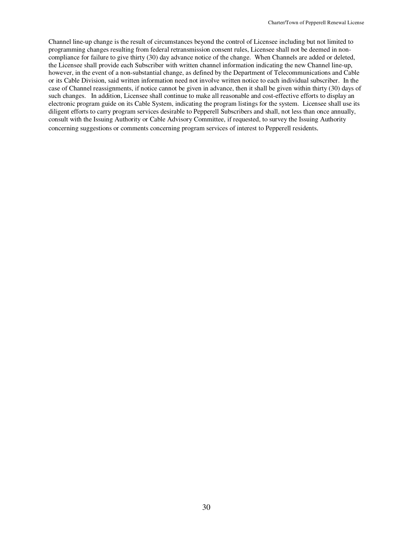Channel line-up change is the result of circumstances beyond the control of Licensee including but not limited to programming changes resulting from federal retransmission consent rules, Licensee shall not be deemed in noncompliance for failure to give thirty (30) day advance notice of the change. When Channels are added or deleted, the Licensee shall provide each Subscriber with written channel information indicating the new Channel line-up, however, in the event of a non-substantial change, as defined by the Department of Telecommunications and Cable or its Cable Division, said written information need not involve written notice to each individual subscriber. In the case of Channel reassignments, if notice cannot be given in advance, then it shall be given within thirty (30) days of such changes. In addition, Licensee shall continue to make all reasonable and cost-effective efforts to display an electronic program guide on its Cable System, indicating the program listings for the system. Licensee shall use its diligent efforts to carry program services desirable to Pepperell Subscribers and shall, not less than once annually, consult with the Issuing Authority or Cable Advisory Committee, if requested, to survey the Issuing Authority concerning suggestions or comments concerning program services of interest to Pepperell residents.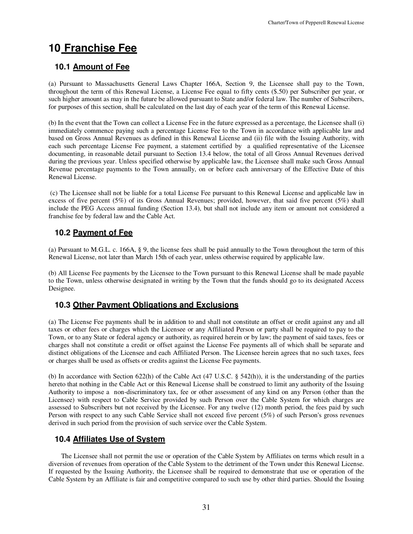## **10 Franchise Fee**

## **10.1 Amount of Fee**

(a) Pursuant to Massachusetts General Laws Chapter 166A, Section 9, the Licensee shall pay to the Town, throughout the term of this Renewal License, a License Fee equal to fifty cents (\$.50) per Subscriber per year, or such higher amount as may in the future be allowed pursuant to State and/or federal law. The number of Subscribers, for purposes of this section, shall be calculated on the last day of each year of the term of this Renewal License.

(b) In the event that the Town can collect a License Fee in the future expressed as a percentage, the Licensee shall (i) immediately commence paying such a percentage License Fee to the Town in accordance with applicable law and based on Gross Annual Revenues as defined in this Renewal License and (ii) file with the Issuing Authority, with each such percentage License Fee payment, a statement certified by a qualified representative of the Licensee documenting, in reasonable detail pursuant to Section 13.4 below, the total of all Gross Annual Revenues derived during the previous year. Unless specified otherwise by applicable law, the Licensee shall make such Gross Annual Revenue percentage payments to the Town annually, on or before each anniversary of the Effective Date of this Renewal License.

 (c) The Licensee shall not be liable for a total License Fee pursuant to this Renewal License and applicable law in excess of five percent (5%) of its Gross Annual Revenues; provided, however, that said five percent (5%) shall include the PEG Access annual funding (Section 13.4), but shall not include any item or amount not considered a franchise fee by federal law and the Cable Act.

## **10.2 Payment of Fee**

(a) Pursuant to M.G.L. c. 166A, § 9, the license fees shall be paid annually to the Town throughout the term of this Renewal License, not later than March 15th of each year, unless otherwise required by applicable law.

(b) All License Fee payments by the Licensee to the Town pursuant to this Renewal License shall be made payable to the Town, unless otherwise designated in writing by the Town that the funds should go to its designated Access Designee.

## **10.3 Other Payment Obligations and Exclusions**

(a) The License Fee payments shall be in addition to and shall not constitute an offset or credit against any and all taxes or other fees or charges which the Licensee or any Affiliated Person or party shall be required to pay to the Town, or to any State or federal agency or authority, as required herein or by law; the payment of said taxes, fees or charges shall not constitute a credit or offset against the License Fee payments all of which shall be separate and distinct obligations of the Licensee and each Affiliated Person. The Licensee herein agrees that no such taxes, fees or charges shall be used as offsets or credits against the License Fee payments.

(b) In accordance with Section 622(h) of the Cable Act (47 U.S.C.  $\S$  542(h)), it is the understanding of the parties hereto that nothing in the Cable Act or this Renewal License shall be construed to limit any authority of the Issuing Authority to impose a non-discriminatory tax, fee or other assessment of any kind on any Person (other than the Licensee) with respect to Cable Service provided by such Person over the Cable System for which charges are assessed to Subscribers but not received by the Licensee. For any twelve (12) month period, the fees paid by such Person with respect to any such Cable Service shall not exceed five percent (5%) of such Person's gross revenues derived in such period from the provision of such service over the Cable System.

## **10.4 Affiliates Use of System**

 The Licensee shall not permit the use or operation of the Cable System by Affiliates on terms which result in a diversion of revenues from operation of the Cable System to the detriment of the Town under this Renewal License. If requested by the Issuing Authority, the Licensee shall be required to demonstrate that use or operation of the Cable System by an Affiliate is fair and competitive compared to such use by other third parties. Should the Issuing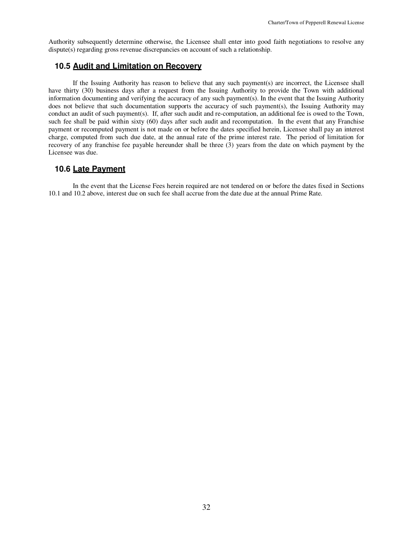Authority subsequently determine otherwise, the Licensee shall enter into good faith negotiations to resolve any dispute(s) regarding gross revenue discrepancies on account of such a relationship.

#### **10.5 Audit and Limitation on Recovery**

If the Issuing Authority has reason to believe that any such payment(s) are incorrect, the Licensee shall have thirty (30) business days after a request from the Issuing Authority to provide the Town with additional information documenting and verifying the accuracy of any such payment(s). In the event that the Issuing Authority does not believe that such documentation supports the accuracy of such payment(s), the Issuing Authority may conduct an audit of such payment(s). If, after such audit and re-computation, an additional fee is owed to the Town, such fee shall be paid within sixty (60) days after such audit and recomputation. In the event that any Franchise payment or recomputed payment is not made on or before the dates specified herein, Licensee shall pay an interest charge, computed from such due date, at the annual rate of the prime interest rate. The period of limitation for recovery of any franchise fee payable hereunder shall be three (3) years from the date on which payment by the Licensee was due.

#### **10.6 Late Payment**

In the event that the License Fees herein required are not tendered on or before the dates fixed in Sections 10.1 and 10.2 above, interest due on such fee shall accrue from the date due at the annual Prime Rate.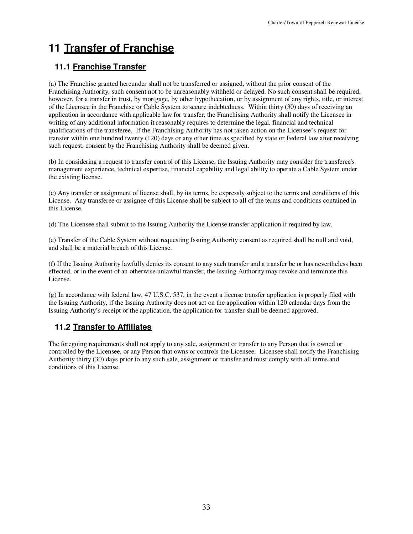# **11 Transfer of Franchise**

## **11.1 Franchise Transfer**

(a) The Franchise granted hereunder shall not be transferred or assigned, without the prior consent of the Franchising Authority, such consent not to be unreasonably withheld or delayed. No such consent shall be required, however, for a transfer in trust, by mortgage, by other hypothecation, or by assignment of any rights, title, or interest of the Licensee in the Franchise or Cable System to secure indebtedness. Within thirty (30) days of receiving an application in accordance with applicable law for transfer, the Franchising Authority shall notify the Licensee in writing of any additional information it reasonably requires to determine the legal, financial and technical qualifications of the transferee. If the Franchising Authority has not taken action on the Licensee's request for transfer within one hundred twenty (120) days or any other time as specified by state or Federal law after receiving such request, consent by the Franchising Authority shall be deemed given.

(b) In considering a request to transfer control of this License, the Issuing Authority may consider the transferee's management experience, technical expertise, financial capability and legal ability to operate a Cable System under the existing license.

(c) Any transfer or assignment of license shall, by its terms, be expressly subject to the terms and conditions of this License. Any transferee or assignee of this License shall be subject to all of the terms and conditions contained in this License.

(d) The Licensee shall submit to the Issuing Authority the License transfer application if required by law.

(e) Transfer of the Cable System without requesting Issuing Authority consent as required shall be null and void, and shall be a material breach of this License.

(f) If the Issuing Authority lawfully denies its consent to any such transfer and a transfer be or has nevertheless been effected, or in the event of an otherwise unlawful transfer, the Issuing Authority may revoke and terminate this License.

(g) In accordance with federal law, 47 U.S.C. 537, in the event a license transfer application is properly filed with the Issuing Authority, if the Issuing Authority does not act on the application within 120 calendar days from the Issuing Authority's receipt of the application, the application for transfer shall be deemed approved.

## **11.2 Transfer to Affiliates**

The foregoing requirements shall not apply to any sale, assignment or transfer to any Person that is owned or controlled by the Licensee, or any Person that owns or controls the Licensee. Licensee shall notify the Franchising Authority thirty (30) days prior to any such sale, assignment or transfer and must comply with all terms and conditions of this License.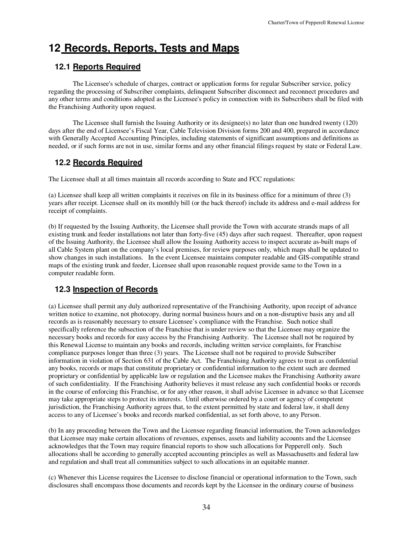## **12 Records, Reports, Tests and Maps**

## **12.1 Reports Required**

The Licensee's schedule of charges, contract or application forms for regular Subscriber service, policy regarding the processing of Subscriber complaints, delinquent Subscriber disconnect and reconnect procedures and any other terms and conditions adopted as the Licensee's policy in connection with its Subscribers shall be filed with the Franchising Authority upon request.

The Licensee shall furnish the Issuing Authority or its designee(s) no later than one hundred twenty (120) days after the end of Licensee's Fiscal Year, Cable Television Division forms 200 and 400, prepared in accordance with Generally Accepted Accounting Principles, including statements of significant assumptions and definitions as needed, or if such forms are not in use, similar forms and any other financial filings request by state or Federal Law.

## **12.2 Records Required**

The Licensee shall at all times maintain all records according to State and FCC regulations:

(a) Licensee shall keep all written complaints it receives on file in its business office for a minimum of three (3) years after receipt. Licensee shall on its monthly bill (or the back thereof) include its address and e-mail address for receipt of complaints.

(b) If requested by the Issuing Authority, the Licensee shall provide the Town with accurate strands maps of all existing trunk and feeder installations not later than forty-five (45) days after such request. Thereafter, upon request of the Issuing Authority, the Licensee shall allow the Issuing Authority access to inspect accurate as-built maps of all Cable System plant on the company's local premises, for review purposes only, which maps shall be updated to show changes in such installations. In the event Licensee maintains computer readable and GIS-compatible strand maps of the existing trunk and feeder, Licensee shall upon reasonable request provide same to the Town in a computer readable form.

## **12.3 Inspection of Records**

(a) Licensee shall permit any duly authorized representative of the Franchising Authority, upon receipt of advance written notice to examine, not photocopy, during normal business hours and on a non-disruptive basis any and all records as is reasonably necessary to ensure Licensee's compliance with the Franchise. Such notice shall specifically reference the subsection of the Franchise that is under review so that the Licensee may organize the necessary books and records for easy access by the Franchising Authority. The Licensee shall not be required by this Renewal License to maintain any books and records, including written service complaints, for Franchise compliance purposes longer than three (3) years. The Licensee shall not be required to provide Subscriber information in violation of Section 631 of the Cable Act. The Franchising Authority agrees to treat as confidential any books, records or maps that constitute proprietary or confidential information to the extent such are deemed proprietary or confidential by applicable law or regulation and the Licensee makes the Franchising Authority aware of such confidentiality. If the Franchising Authority believes it must release any such confidential books or records in the course of enforcing this Franchise, or for any other reason, it shall advise Licensee in advance so that Licensee may take appropriate steps to protect its interests. Until otherwise ordered by a court or agency of competent jurisdiction, the Franchising Authority agrees that, to the extent permitted by state and federal law, it shall deny access to any of Licensee's books and records marked confidential, as set forth above, to any Person.

(b) In any proceeding between the Town and the Licensee regarding financial information, the Town acknowledges that Licensee may make certain allocations of revenues, expenses, assets and liability accounts and the Licensee acknowledges that the Town may require financial reports to show such allocations for Pepperell only. Such allocations shall be according to generally accepted accounting principles as well as Massachusetts and federal law and regulation and shall treat all communities subject to such allocations in an equitable manner.

(c) Whenever this License requires the Licensee to disclose financial or operational information to the Town, such disclosures shall encompass those documents and records kept by the Licensee in the ordinary course of business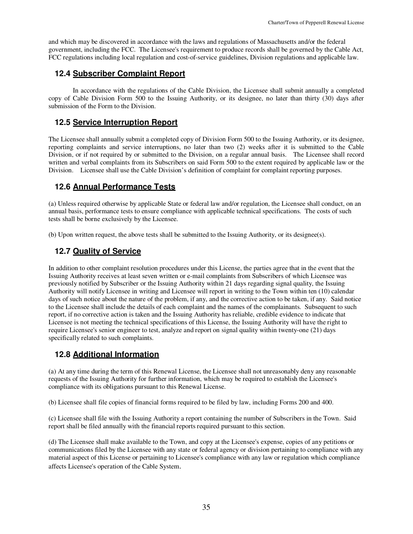and which may be discovered in accordance with the laws and regulations of Massachusetts and/or the federal government, including the FCC. The Licensee's requirement to produce records shall be governed by the Cable Act, FCC regulations including local regulation and cost-of-service guidelines, Division regulations and applicable law.

#### **12.4 Subscriber Complaint Report**

In accordance with the regulations of the Cable Division, the Licensee shall submit annually a completed copy of Cable Division Form 500 to the Issuing Authority, or its designee, no later than thirty (30) days after submission of the Form to the Division.

#### **12.5 Service Interruption Report**

The Licensee shall annually submit a completed copy of Division Form 500 to the Issuing Authority, or its designee, reporting complaints and service interruptions, no later than two (2) weeks after it is submitted to the Cable Division, or if not required by or submitted to the Division, on a regular annual basis. The Licensee shall record written and verbal complaints from its Subscribers on said Form 500 to the extent required by applicable law or the Division. Licensee shall use the Cable Division's definition of complaint for complaint reporting purposes.

## **12.6 Annual Performance Tests**

(a) Unless required otherwise by applicable State or federal law and/or regulation, the Licensee shall conduct, on an annual basis, performance tests to ensure compliance with applicable technical specifications. The costs of such tests shall be borne exclusively by the Licensee.

(b) Upon written request, the above tests shall be submitted to the Issuing Authority, or its designee(s).

## **12.7 Quality of Service**

In addition to other complaint resolution procedures under this License, the parties agree that in the event that the Issuing Authority receives at least seven written or e-mail complaints from Subscribers of which Licensee was previously notified by Subscriber or the Issuing Authority within 21 days regarding signal quality, the Issuing Authority will notify Licensee in writing and Licensee will report in writing to the Town within ten (10) calendar days of such notice about the nature of the problem, if any, and the corrective action to be taken, if any. Said notice to the Licensee shall include the details of each complaint and the names of the complainants. Subsequent to such report, if no corrective action is taken and the Issuing Authority has reliable, credible evidence to indicate that Licensee is not meeting the technical specifications of this License, the Issuing Authority will have the right to require Licensee's senior engineer to test, analyze and report on signal quality within twenty-one (21) days specifically related to such complaints.

## **12.8 Additional Information**

(a) At any time during the term of this Renewal License, the Licensee shall not unreasonably deny any reasonable requests of the Issuing Authority for further information, which may be required to establish the Licensee's compliance with its obligations pursuant to this Renewal License.

(b) Licensee shall file copies of financial forms required to be filed by law, including Forms 200 and 400.

(c) Licensee shall file with the Issuing Authority a report containing the number of Subscribers in the Town. Said report shall be filed annually with the financial reports required pursuant to this section.

(d) The Licensee shall make available to the Town, and copy at the Licensee's expense, copies of any petitions or communications filed by the Licensee with any state or federal agency or division pertaining to compliance with any material aspect of this License or pertaining to Licensee's compliance with any law or regulation which compliance affects Licensee's operation of the Cable System.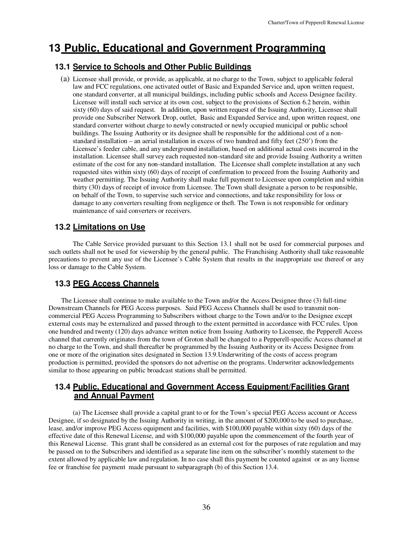## **13 Public, Educational and Government Programming**

### **13.1 Service to Schools and Other Public Buildings**

(a) Licensee shall provide, or provide, as applicable, at no charge to the Town, subject to applicable federal law and FCC regulations, one activated outlet of Basic and Expanded Service and, upon written request, one standard converter, at all municipal buildings, including public schools and Access Designee facility. Licensee will install such service at its own cost, subject to the provisions of Section 6.2 herein, within sixty (60) days of said request. In addition, upon written request of the Issuing Authority, Licensee shall provide one Subscriber Network Drop, outlet, Basic and Expanded Service and, upon written request, one standard converter without charge to newly constructed or newly occupied municipal or public school buildings. The Issuing Authority or its designee shall be responsible for the additional cost of a nonstandard installation – an aerial installation in excess of two hundred and fifty feet (250') from the Licensee's feeder cable, and any underground installation, based on additional actual costs incurred in the installation. Licensee shall survey each requested non-standard site and provide Issuing Authority a written estimate of the cost for any non-standard installation. The Licensee shall complete installation at any such requested sites within sixty (60) days of receipt of confirmation to proceed from the Issuing Authority and weather permitting. The Issuing Authority shall make full payment to Licensee upon completion and within thirty (30) days of receipt of invoice from Licensee. The Town shall designate a person to be responsible, on behalf of the Town, to supervise such service and connections, and take responsibility for loss or damage to any converters resulting from negligence or theft. The Town is not responsible for ordinary maintenance of said converters or receivers.

## **13.2 Limitations on Use**

The Cable Service provided pursuant to this Section 13.1 shall not be used for commercial purposes and such outlets shall not be used for viewership by the general public. The Franchising Authority shall take reasonable precautions to prevent any use of the Licensee's Cable System that results in the inappropriate use thereof or any loss or damage to the Cable System.

## **13.3 PEG Access Channels**

 The Licensee shall continue to make available to the Town and/or the Access Designee three (3) full-time Downstream Channels for PEG Access purposes. Said PEG Access Channels shall be used to transmit noncommercial PEG Access Programming to Subscribers without charge to the Town and/or to the Designee except external costs may be externalized and passed through to the extent permitted in accordance with FCC rules. Upon one hundred and twenty (120) days advance written notice from Issuing Authority to Licensee, the Pepperell Access channel that currently originates from the town of Groton shall be changed to a Pepperell-specific Access channel at no charge to the Town, and shall thereafter be programmed by the Issuing Authority or its Access Designee from one or more of the origination sites designated in Section 13.9.Underwriting of the costs of access program production is permitted, provided the sponsors do not advertise on the programs. Underwriter acknowledgements similar to those appearing on public broadcast stations shall be permitted.

## **13.4 Public, Educational and Government Access Equipment/Facilities Grant and Annual Payment**

(a) The Licensee shall provide a capital grant to or for the Town's special PEG Access account or Access Designee, if so designated by the Issuing Authority in writing, in the amount of \$200,000 to be used to purchase, lease, and/or improve PEG Access equipment and facilities, with \$100,000 payable within sixty (60) days of the effective date of this Renewal License, and with \$100,000 payable upon the commencement of the fourth year of this Renewal License. This grant shall be considered as an external cost for the purposes of rate regulation and may be passed on to the Subscribers and identified as a separate line item on the subscriber's monthly statement to the extent allowed by applicable law and regulation. In no case shall this payment be counted against or as any license fee or franchise fee payment made pursuant to subparagraph (b) of this Section 13.4.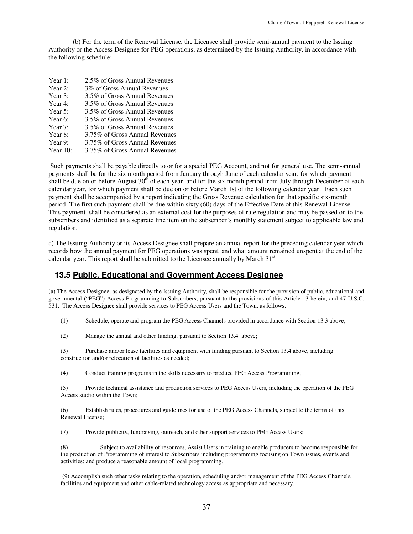(b) For the term of the Renewal License, the Licensee shall provide semi-annual payment to the Issuing Authority or the Access Designee for PEG operations, as determined by the Issuing Authority, in accordance with the following schedule:

| 3.5% of Gross Annual Revenues                                                                                                    |
|----------------------------------------------------------------------------------------------------------------------------------|
|                                                                                                                                  |
|                                                                                                                                  |
|                                                                                                                                  |
|                                                                                                                                  |
| 3.75% of Gross Annual Revenues                                                                                                   |
| 3.75% of Gross Annual Revenues                                                                                                   |
| 3.75% of Gross Annual Revenues                                                                                                   |
| 3.5% of Gross Annual Revenues<br>3.5% of Gross Annual Revenues<br>3.5% of Gross Annual Revenues<br>3.5% of Gross Annual Revenues |

 Such payments shall be payable directly to or for a special PEG Account, and not for general use. The semi-annual payments shall be for the six month period from January through June of each calendar year, for which payment shall be due on or before August  $30<sup>th</sup>$  of each year, and for the six month period from July through December of each calendar year, for which payment shall be due on or before March 1st of the following calendar year. Each such payment shall be accompanied by a report indicating the Gross Revenue calculation for that specific six-month period. The first such payment shall be due within sixty (60) days of the Effective Date of this Renewal License. This payment shall be considered as an external cost for the purposes of rate regulation and may be passed on to the subscribers and identified as a separate line item on the subscriber's monthly statement subject to applicable law and regulation.

c) The Issuing Authority or its Access Designee shall prepare an annual report for the preceding calendar year which records how the annual payment for PEG operations was spent, and what amount remained unspent at the end of the calendar year. This report shall be submitted to the Licensee annually by March  $31<sup>st</sup>$ .

## **13.5 Public, Educational and Government Access Designee**

(a) The Access Designee, as designated by the Issuing Authority, shall be responsible for the provision of public, educational and governmental ("PEG") Access Programming to Subscribers, pursuant to the provisions of this Article 13 herein, and 47 U.S.C. 531. The Access Designee shall provide services to PEG Access Users and the Town, as follows:

(1) Schedule, operate and program the PEG Access Channels provided in accordance with Section 13.3 above;

(2) Manage the annual and other funding, pursuant to Section 13.4 above;

(3) Purchase and/or lease facilities and equipment with funding pursuant to Section 13.4 above, including construction and/or relocation of facilities as needed;

(4) Conduct training programs in the skills necessary to produce PEG Access Programming;

(5) Provide technical assistance and production services to PEG Access Users, including the operation of the PEG Access studio within the Town;

(6) Establish rules, procedures and guidelines for use of the PEG Access Channels, subject to the terms of this Renewal License;

(7) Provide publicity, fundraising, outreach, and other support services to PEG Access Users;

(8) Subject to availability of resources, Assist Users in training to enable producers to become responsible for the production of Programming of interest to Subscribers including programming focusing on Town issues, events and activities; and produce a reasonable amount of local programming.

 (9) Accomplish such other tasks relating to the operation, scheduling and/or management of the PEG Access Channels, facilities and equipment and other cable-related technology access as appropriate and necessary.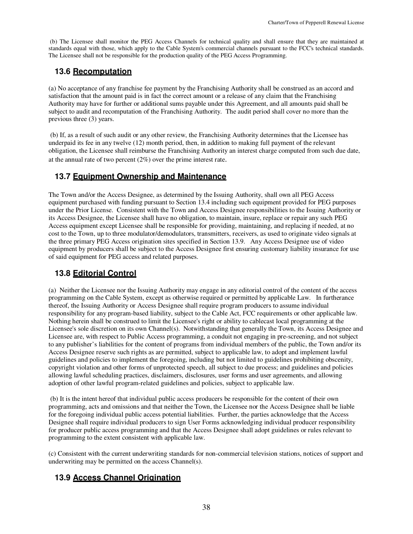(b) The Licensee shall monitor the PEG Access Channels for technical quality and shall ensure that they are maintained at standards equal with those, which apply to the Cable System's commercial channels pursuant to the FCC's technical standards. The Licensee shall not be responsible for the production quality of the PEG Access Programming.

## **13.6 Recomputation**

(a) No acceptance of any franchise fee payment by the Franchising Authority shall be construed as an accord and satisfaction that the amount paid is in fact the correct amount or a release of any claim that the Franchising Authority may have for further or additional sums payable under this Agreement, and all amounts paid shall be subject to audit and recomputation of the Franchising Authority. The audit period shall cover no more than the previous three (3) years.

 (b) If, as a result of such audit or any other review, the Franchising Authority determines that the Licensee has underpaid its fee in any twelve (12) month period, then, in addition to making full payment of the relevant obligation, the Licensee shall reimburse the Franchising Authority an interest charge computed from such due date, at the annual rate of two percent (2%) over the prime interest rate.

## **13.7 Equipment Ownership and Maintenance**

The Town and/or the Access Designee, as determined by the Issuing Authority, shall own all PEG Access equipment purchased with funding pursuant to Section 13.4 including such equipment provided for PEG purposes under the Prior License. Consistent with the Town and Access Designee responsibilities to the Issuing Authority or its Access Designee, the Licensee shall have no obligation, to maintain, insure, replace or repair any such PEG Access equipment except Licensee shall be responsible for providing, maintaining, and replacing if needed, at no cost to the Town, up to three modulator/demodulators, transmitters, receivers, as used to originate video signals at the three primary PEG Access origination sites specified in Section 13.9. Any Access Designee use of video equipment by producers shall be subject to the Access Designee first ensuring customary liability insurance for use of said equipment for PEG access and related purposes.

## **13.8 Editorial Control**

(a) Neither the Licensee nor the Issuing Authority may engage in any editorial control of the content of the access programming on the Cable System, except as otherwise required or permitted by applicable Law. In furtherance thereof, the Issuing Authority or Access Designee shall require program producers to assume individual responsibility for any program-based liability, subject to the Cable Act, FCC requirements or other applicable law. Nothing herein shall be construed to limit the Licensee's right or ability to cablecast local programming at the Licensee's sole discretion on its own Channel(s). Notwithstanding that generally the Town, its Access Designee and Licensee are, with respect to Public Access programming, a conduit not engaging in pre-screening, and not subject to any publisher's liabilities for the content of programs from individual members of the public, the Town and/or its Access Designee reserve such rights as are permitted, subject to applicable law, to adopt and implement lawful guidelines and policies to implement the foregoing, including but not limited to guidelines prohibiting obscenity, copyright violation and other forms of unprotected speech, all subject to due process; and guidelines and policies allowing lawful scheduling practices, disclaimers, disclosures, user forms and user agreements, and allowing adoption of other lawful program-related guidelines and policies, subject to applicable law.

 (b) It is the intent hereof that individual public access producers be responsible for the content of their own programming, acts and omissions and that neither the Town, the Licensee nor the Access Designee shall be liable for the foregoing individual public access potential liabilities. Further, the parties acknowledge that the Access Designee shall require individual producers to sign User Forms acknowledging individual producer responsibility for producer public access programming and that the Access Designee shall adopt guidelines or rules relevant to programming to the extent consistent with applicable law.

(c) Consistent with the current underwriting standards for non-commercial television stations, notices of support and underwriting may be permitted on the access Channel(s).

## **13.9 Access Channel Origination**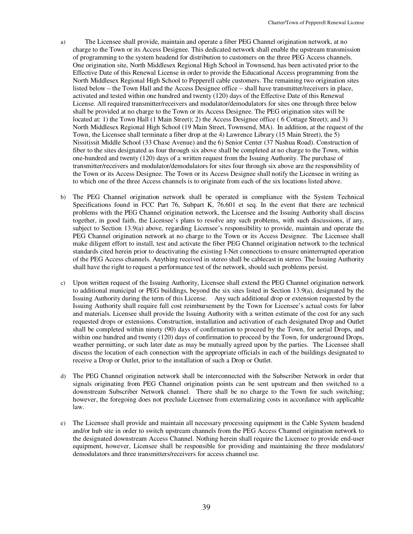- a) The Licensee shall provide, maintain and operate a fiber PEG Channel origination network, at no charge to the Town or its Access Designee. This dedicated network shall enable the upstream transmission of programming to the system headend for distribution to customers on the three PEG Access channels. One origination site, North Middlesex Regional High School in Townsend, has been activated prior to the Effective Date of this Renewal License in order to provide the Educational Access programming from the North Middlesex Regional High School to Pepperell cable customers. The remaining two origination sites listed below – the Town Hall and the Access Designee office – shall have transmitter/receivers in place, activated and tested within one hundred and twenty (120) days of the Effective Date of this Renewal License. All required transmitter/receivers and modulator/demodulators for sites one through three below shall be provided at no charge to the Town or its Access Designee. The PEG origination sites will be located at: 1) the Town Hall (1 Main Street); 2) the Access Designee office ( 6 Cottage Street); and 3) North Middlesex Regional High School (19 Main Street, Townsend, MA). In addition, at the request of the Town, the Licensee shall terminate a fiber drop at the 4) Lawrence Library (15 Main Street), the 5) Nissitissit Middle School (33 Chase Avenue) and the 6) Senior Center (37 Nashua Road). Construction of fiber to the sites designated as four through six above shall be completed at no charge to the Town, within one-hundred and twenty (120) days of a written request from the Issuing Authority. The purchase of transmitter/receivers and modulator/demodulators for sites four through six above are the responsibility of the Town or its Access Designee. The Town or its Access Designee shall notify the Licensee in writing as to which one of the three Access channels is to originate from each of the six locations listed above.
- b) The PEG Channel origination network shall be operated in compliance with the System Technical Specifications found in FCC Part 76, Subpart K, 76.601 et seq. In the event that there are technical problems with the PEG Channel origination network, the Licensee and the Issuing Authority shall discuss together, in good faith, the Licensee's plans to resolve any such problems, with such discussions, if any, subject to Section 13.9(a) above, regarding Licensee's responsibility to provide, maintain and operate the PEG Channel origination network at no charge to the Town or its Access Designee. The Licensee shall make diligent effort to install, test and activate the fiber PEG Channel origination network to the technical standards cited herein prior to deactivating the existing I-Net connections to ensure uninterrupted operation of the PEG Access channels. Anything received in stereo shall be cablecast in stereo. The Issuing Authority shall have the right to request a performance test of the network, should such problems persist.
- c) Upon written request of the Issuing Authority, Licensee shall extend the PEG Channel origination network to additional municipal or PEG buildings, beyond the six sites listed in Section 13.9(a), designated by the Issuing Authority during the term of this License. Any such additional drop or extension requested by the Issuing Authority shall require full cost reimbursement by the Town for Licensee's actual costs for labor and materials. Licensee shall provide the Issuing Authority with a written estimate of the cost for any such requested drops or extensions. Construction, installation and activation of each designated Drop and Outlet shall be completed within ninety (90) days of confirmation to proceed by the Town, for aerial Drops, and within one hundred and twenty (120) days of confirmation to proceed by the Town, for underground Drops, weather permitting, or such later date as may be mutually agreed upon by the parties. The Licensee shall discuss the location of each connection with the appropriate officials in each of the buildings designated to receive a Drop or Outlet, prior to the installation of such a Drop or Outlet.
- d) The PEG Channel origination network shall be interconnected with the Subscriber Network in order that signals originating from PEG Channel origination points can be sent upstream and then switched to a downstream Subscriber Network channel. There shall be no charge to the Town for such switching; however, the foregoing does not preclude Licensee from externalizing costs in accordance with applicable law.
- e) The Licensee shall provide and maintain all necessary processing equipment in the Cable System headend and/or hub site in order to switch upstream channels from the PEG Access Channel origination network to the designated downstream Access Channel. Nothing herein shall require the Licensee to provide end-user equipment, however, Licensee shall be responsible for providing and maintaining the three modulators/ demodulators and three transmitters/receivers for access channel use.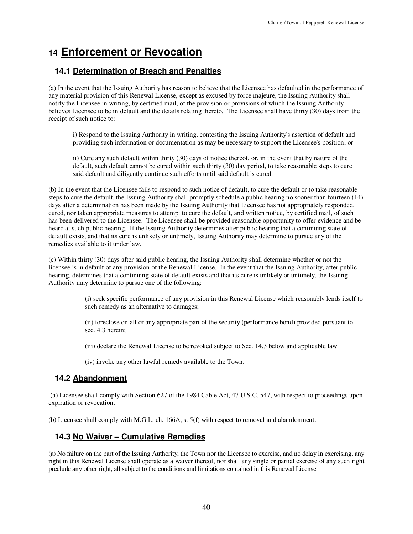## **14 Enforcement or Revocation**

## **14.1 Determination of Breach and Penalties**

(a) In the event that the Issuing Authority has reason to believe that the Licensee has defaulted in the performance of any material provision of this Renewal License, except as excused by force majeure, the Issuing Authority shall notify the Licensee in writing, by certified mail, of the provision or provisions of which the Issuing Authority believes Licensee to be in default and the details relating thereto. The Licensee shall have thirty (30) days from the receipt of such notice to:

i) Respond to the Issuing Authority in writing, contesting the Issuing Authority's assertion of default and providing such information or documentation as may be necessary to support the Licensee's position; or

ii) Cure any such default within thirty (30) days of notice thereof, or, in the event that by nature of the default, such default cannot be cured within such thirty (30) day period, to take reasonable steps to cure said default and diligently continue such efforts until said default is cured.

(b) In the event that the Licensee fails to respond to such notice of default, to cure the default or to take reasonable steps to cure the default, the Issuing Authority shall promptly schedule a public hearing no sooner than fourteen (14) days after a determination has been made by the Issuing Authority that Licensee has not appropriately responded, cured, nor taken appropriate measures to attempt to cure the default, and written notice, by certified mail, of such has been delivered to the Licensee. The Licensee shall be provided reasonable opportunity to offer evidence and be heard at such public hearing. If the Issuing Authority determines after public hearing that a continuing state of default exists, and that its cure is unlikely or untimely, Issuing Authority may determine to pursue any of the remedies available to it under law.

(c) Within thirty (30) days after said public hearing, the Issuing Authority shall determine whether or not the licensee is in default of any provision of the Renewal License. In the event that the Issuing Authority, after public hearing, determines that a continuing state of default exists and that its cure is unlikely or untimely, the Issuing Authority may determine to pursue one of the following:

> (i) seek specific performance of any provision in this Renewal License which reasonably lends itself to such remedy as an alternative to damages;

(ii) foreclose on all or any appropriate part of the security (performance bond) provided pursuant to sec. 4.3 herein;

(iii) declare the Renewal License to be revoked subject to Sec. 14.3 below and applicable law

(iv) invoke any other lawful remedy available to the Town.

## **14.2 Abandonment**

 (a) Licensee shall comply with Section 627 of the 1984 Cable Act, 47 U.S.C. 547, with respect to proceedings upon expiration or revocation.

(b) Licensee shall comply with M.G.L. ch. 166A, s. 5(f) with respect to removal and abandonment.

## **14.3 No Waiver – Cumulative Remedies**

(a) No failure on the part of the Issuing Authority, the Town nor the Licensee to exercise, and no delay in exercising, any right in this Renewal License shall operate as a waiver thereof, nor shall any single or partial exercise of any such right preclude any other right, all subject to the conditions and limitations contained in this Renewal License.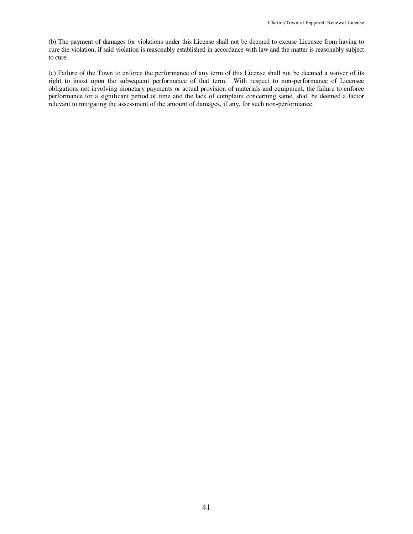(b) The payment of damages for violations under this License shall not be deemed to excuse Licensee from having to cure the violation, if said violation is reasonably established in accordance with law and the matter is reasonably subject to cure.

(c) Failure of the Town to enforce the performance of any term of this License shall not be deemed a waiver of its right to insist upon the subsequent performance of that term. With respect to non-performance of Licensee obligations not involving monetary payments or actual provision of materials and equipment, the failure to enforce performance for a significant period of time and the lack of complaint concerning same, shall be deemed a factor relevant to mitigating the assessment of the amount of damages, if any, for such non-performance.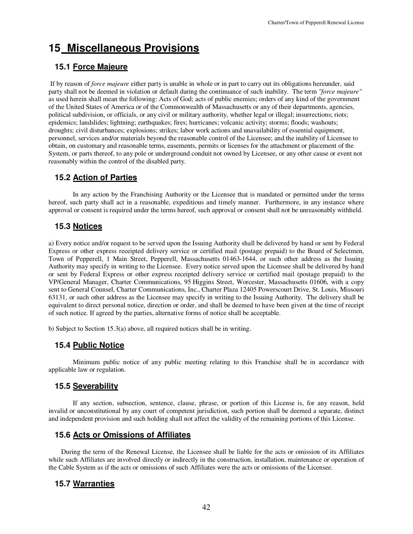## **15 Miscellaneous Provisions**

## **15.1 Force Majeure**

 If by reason of *force majeure* either party is unable in whole or in part to carry out its obligations hereunder, said party shall not be deemed in violation or default during the continuance of such inability. The term *"force majeure"* as used herein shall mean the following: Acts of God; acts of public enemies; orders of any kind of the government of the United States of America or of the Commonwealth of Massachusetts or any of their departments, agencies, political subdivision, or officials, or any civil or military authority, whether legal or illegal; insurrections; riots; epidemics; landslides; lightning; earthquakes; fires; hurricanes; volcanic activity; storms; floods; washouts; droughts; civil disturbances; explosions; strikes; labor work actions and unavailability of essential equipment, personnel, services and/or materials beyond the reasonable control of the Licensee; and the inability of Licensee to obtain, on customary and reasonable terms, easements, permits or licenses for the attachment or placement of the System, or parts thereof, to any pole or underground conduit not owned by Licensee, or any other cause or event not reasonably within the control of the disabled party.

## **15.2 Action of Parties**

In any action by the Franchising Authority or the Licensee that is mandated or permitted under the terms hereof, such party shall act in a reasonable, expeditious and timely manner. Furthermore, in any instance where approval or consent is required under the terms hereof, such approval or consent shall not be unreasonably withheld.

## **15.3 Notices**

a) Every notice and/or request to be served upon the Issuing Authority shall be delivered by hand or sent by Federal Express or other express receipted delivery service or certified mail (postage prepaid) to the Board of Selectmen, Town of Pepperell, 1 Main Street, Pepperell, Massachusetts 01463-1644, or such other address as the Issuing Authority may specify in writing to the Licensee. Every notice served upon the Licensee shall be delivered by hand or sent by Federal Express or other express receipted delivery service or certified mail (postage prepaid) to the VP/General Manager, Charter Communications, 95 Higgins Street, Worcester, Massachusetts 01606, with a copy sent to General Counsel, Charter Communications, Inc., Charter Plaza 12405 Powerscourt Drive, St. Louis, Missouri 63131, or such other address as the Licensee may specify in writing to the Issuing Authority. The delivery shall be equivalent to direct personal notice, direction or order, and shall be deemed to have been given at the time of receipt of such notice. If agreed by the parties, alternative forms of notice shall be acceptable.

b) Subject to Section 15.3(a) above, all required notices shall be in writing.

## **15.4 Public Notice**

Minimum public notice of any public meeting relating to this Franchise shall be in accordance with applicable law or regulation.

## **15.5 Severability**

If any section, subsection, sentence, clause, phrase, or portion of this License is, for any reason, held invalid or unconstitutional by any court of competent jurisdiction, such portion shall be deemed a separate, distinct and independent provision and such holding shall not affect the validity of the remaining portions of this License.

## **15.6 Acts or Omissions of Affiliates**

 During the term of the Renewal License, the Licensee shall be liable for the acts or omission of its Affiliates while such Affiliates are involved directly or indirectly in the construction, installation, maintenance or operation of the Cable System as if the acts or omissions of such Affiliates were the acts or omissions of the Licensee.

## **15.7 Warranties**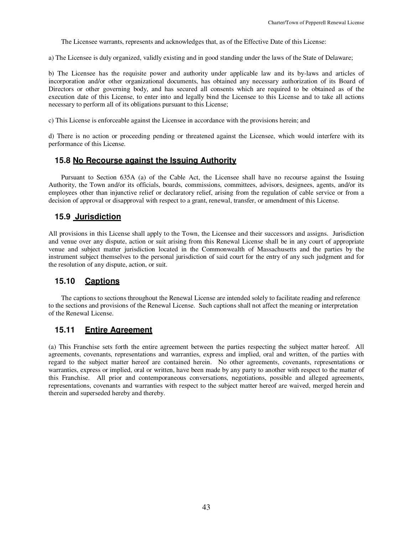The Licensee warrants, represents and acknowledges that, as of the Effective Date of this License:

a) The Licensee is duly organized, validly existing and in good standing under the laws of the State of Delaware;

b) The Licensee has the requisite power and authority under applicable law and its by-laws and articles of incorporation and/or other organizational documents, has obtained any necessary authorization of its Board of Directors or other governing body, and has secured all consents which are required to be obtained as of the execution date of this License, to enter into and legally bind the Licensee to this License and to take all actions necessary to perform all of its obligations pursuant to this License;

c) This License is enforceable against the Licensee in accordance with the provisions herein; and

d) There is no action or proceeding pending or threatened against the Licensee, which would interfere with its performance of this License.

#### **15.8 No Recourse against the Issuing Authority**

 Pursuant to Section 635A (a) of the Cable Act, the Licensee shall have no recourse against the Issuing Authority, the Town and/or its officials, boards, commissions, committees, advisors, designees, agents, and/or its employees other than injunctive relief or declaratory relief, arising from the regulation of cable service or from a decision of approval or disapproval with respect to a grant, renewal, transfer, or amendment of this License.

#### **15.9 Jurisdiction**

All provisions in this License shall apply to the Town, the Licensee and their successors and assigns. Jurisdiction and venue over any dispute, action or suit arising from this Renewal License shall be in any court of appropriate venue and subject matter jurisdiction located in the Commonwealth of Massachusetts and the parties by the instrument subject themselves to the personal jurisdiction of said court for the entry of any such judgment and for the resolution of any dispute, action, or suit.

#### **15.10 Captions**

 The captions to sections throughout the Renewal License are intended solely to facilitate reading and reference to the sections and provisions of the Renewal License. Such captions shall not affect the meaning or interpretation of the Renewal License.

#### **15.11 Entire Agreement**

(a) This Franchise sets forth the entire agreement between the parties respecting the subject matter hereof. All agreements, covenants, representations and warranties, express and implied, oral and written, of the parties with regard to the subject matter hereof are contained herein. No other agreements, covenants, representations or warranties, express or implied, oral or written, have been made by any party to another with respect to the matter of this Franchise. All prior and contemporaneous conversations, negotiations, possible and alleged agreements, representations, covenants and warranties with respect to the subject matter hereof are waived, merged herein and therein and superseded hereby and thereby.